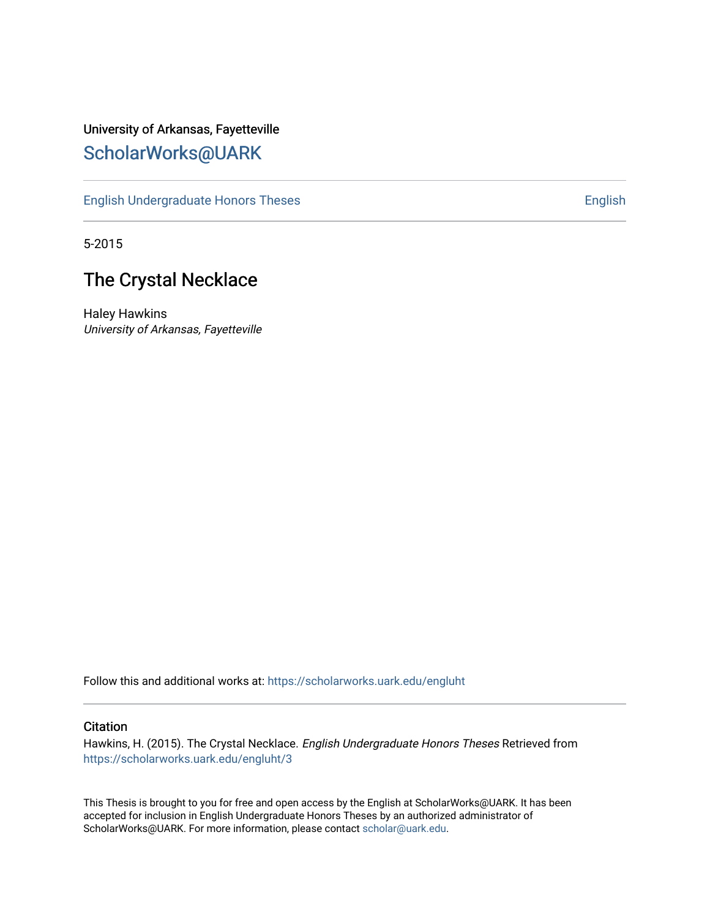## University of Arkansas, Fayetteville [ScholarWorks@UARK](https://scholarworks.uark.edu/)

[English Undergraduate Honors Theses](https://scholarworks.uark.edu/engluht) **English** English

5-2015

## The Crystal Necklace

Haley Hawkins University of Arkansas, Fayetteville

Follow this and additional works at: [https://scholarworks.uark.edu/engluht](https://scholarworks.uark.edu/engluht?utm_source=scholarworks.uark.edu%2Fengluht%2F3&utm_medium=PDF&utm_campaign=PDFCoverPages)

#### **Citation**

Hawkins, H. (2015). The Crystal Necklace. English Undergraduate Honors Theses Retrieved from [https://scholarworks.uark.edu/engluht/3](https://scholarworks.uark.edu/engluht/3?utm_source=scholarworks.uark.edu%2Fengluht%2F3&utm_medium=PDF&utm_campaign=PDFCoverPages)

This Thesis is brought to you for free and open access by the English at ScholarWorks@UARK. It has been accepted for inclusion in English Undergraduate Honors Theses by an authorized administrator of ScholarWorks@UARK. For more information, please contact [scholar@uark.edu](mailto:scholar@uark.edu).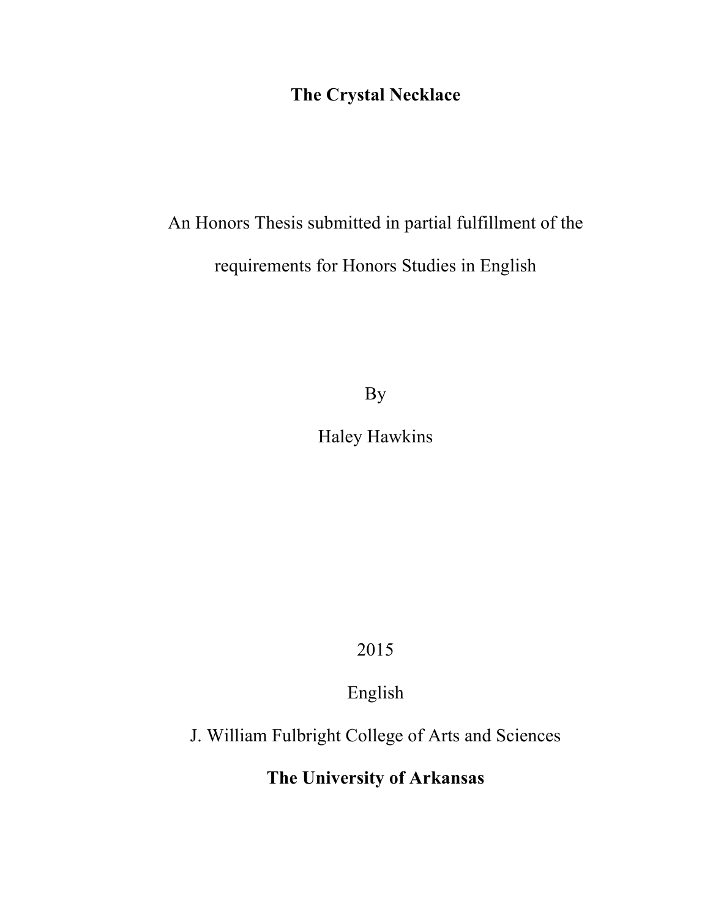# **The Crystal Necklace**

# An Honors Thesis submitted in partial fulfillment of the requirements for Honors Studies in English

By

Haley Hawkins

2015

English

J. William Fulbright College of Arts and Sciences

**The University of Arkansas**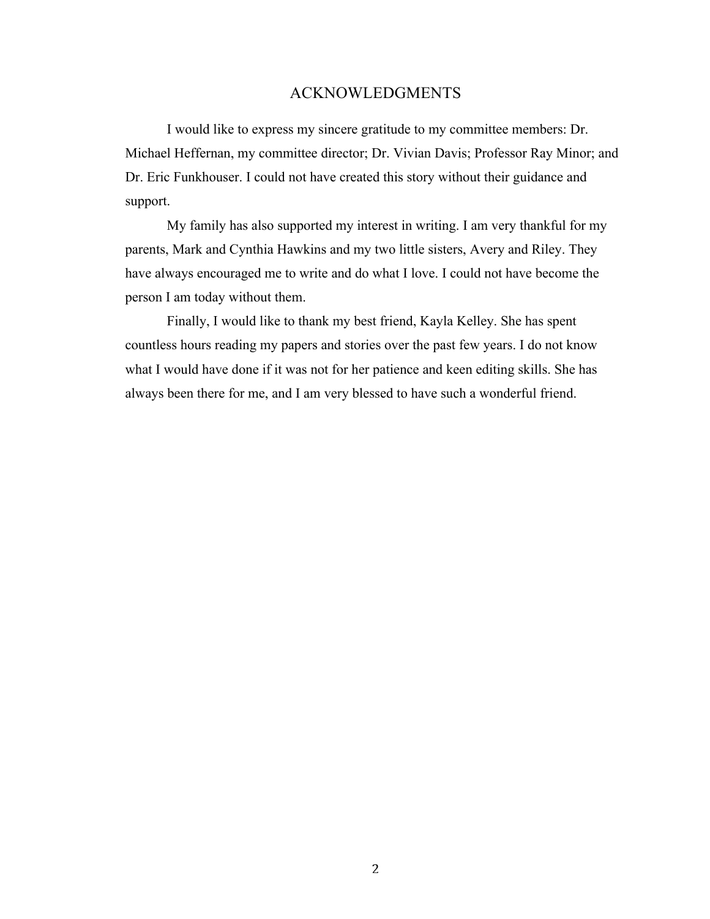### ACKNOWLEDGMENTS

I would like to express my sincere gratitude to my committee members: Dr. Michael Heffernan, my committee director; Dr. Vivian Davis; Professor Ray Minor; and Dr. Eric Funkhouser. I could not have created this story without their guidance and support.

My family has also supported my interest in writing. I am very thankful for my parents, Mark and Cynthia Hawkins and my two little sisters, Avery and Riley. They have always encouraged me to write and do what I love. I could not have become the person I am today without them.

Finally, I would like to thank my best friend, Kayla Kelley. She has spent countless hours reading my papers and stories over the past few years. I do not know what I would have done if it was not for her patience and keen editing skills. She has always been there for me, and I am very blessed to have such a wonderful friend.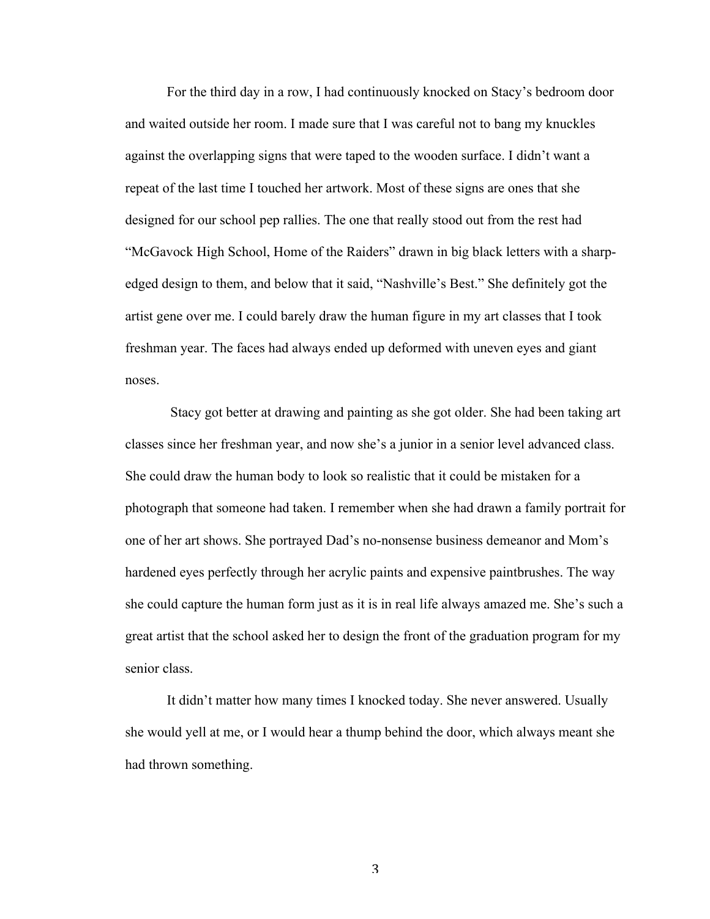For the third day in a row, I had continuously knocked on Stacy's bedroom door and waited outside her room. I made sure that I was careful not to bang my knuckles against the overlapping signs that were taped to the wooden surface. I didn't want a repeat of the last time I touched her artwork. Most of these signs are ones that she designed for our school pep rallies. The one that really stood out from the rest had "McGavock High School, Home of the Raiders" drawn in big black letters with a sharpedged design to them, and below that it said, "Nashville's Best." She definitely got the artist gene over me. I could barely draw the human figure in my art classes that I took freshman year. The faces had always ended up deformed with uneven eyes and giant noses.

Stacy got better at drawing and painting as she got older. She had been taking art classes since her freshman year, and now she's a junior in a senior level advanced class. She could draw the human body to look so realistic that it could be mistaken for a photograph that someone had taken. I remember when she had drawn a family portrait for one of her art shows. She portrayed Dad's no-nonsense business demeanor and Mom's hardened eyes perfectly through her acrylic paints and expensive paintbrushes. The way she could capture the human form just as it is in real life always amazed me. She's such a great artist that the school asked her to design the front of the graduation program for my senior class.

It didn't matter how many times I knocked today. She never answered. Usually she would yell at me, or I would hear a thump behind the door, which always meant she had thrown something.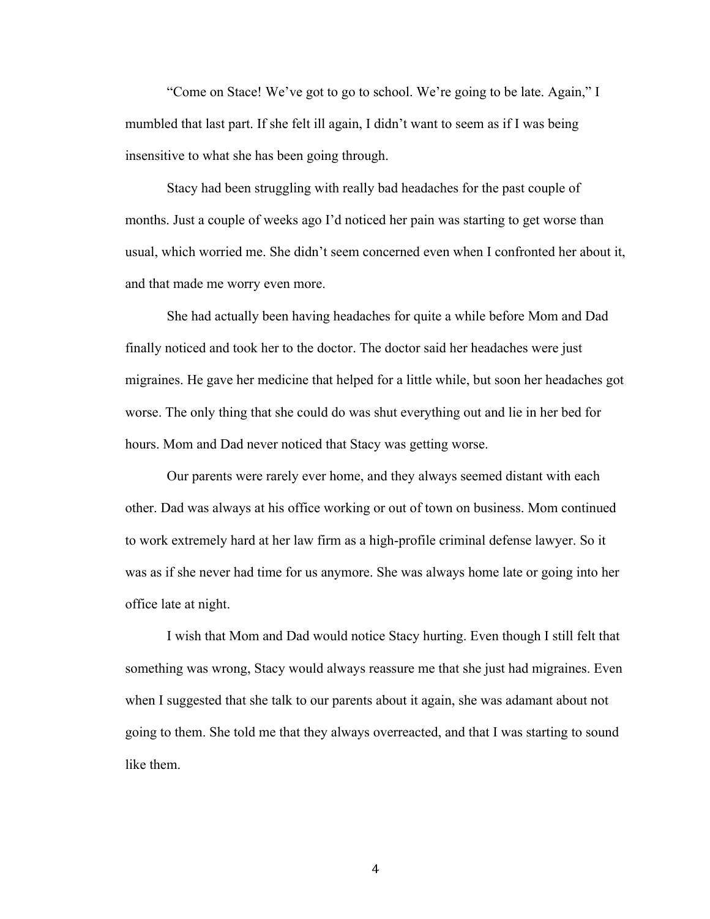"Come on Stace! We've got to go to school. We're going to be late. Again," I mumbled that last part. If she felt ill again, I didn't want to seem as if I was being insensitive to what she has been going through.

Stacy had been struggling with really bad headaches for the past couple of months. Just a couple of weeks ago I'd noticed her pain was starting to get worse than usual, which worried me. She didn't seem concerned even when I confronted her about it, and that made me worry even more.

She had actually been having headaches for quite a while before Mom and Dad finally noticed and took her to the doctor. The doctor said her headaches were just migraines. He gave her medicine that helped for a little while, but soon her headaches got worse. The only thing that she could do was shut everything out and lie in her bed for hours. Mom and Dad never noticed that Stacy was getting worse.

Our parents were rarely ever home, and they always seemed distant with each other. Dad was always at his office working or out of town on business. Mom continued to work extremely hard at her law firm as a high-profile criminal defense lawyer. So it was as if she never had time for us anymore. She was always home late or going into her office late at night.

I wish that Mom and Dad would notice Stacy hurting. Even though I still felt that something was wrong, Stacy would always reassure me that she just had migraines. Even when I suggested that she talk to our parents about it again, she was adamant about not going to them. She told me that they always overreacted, and that I was starting to sound like them.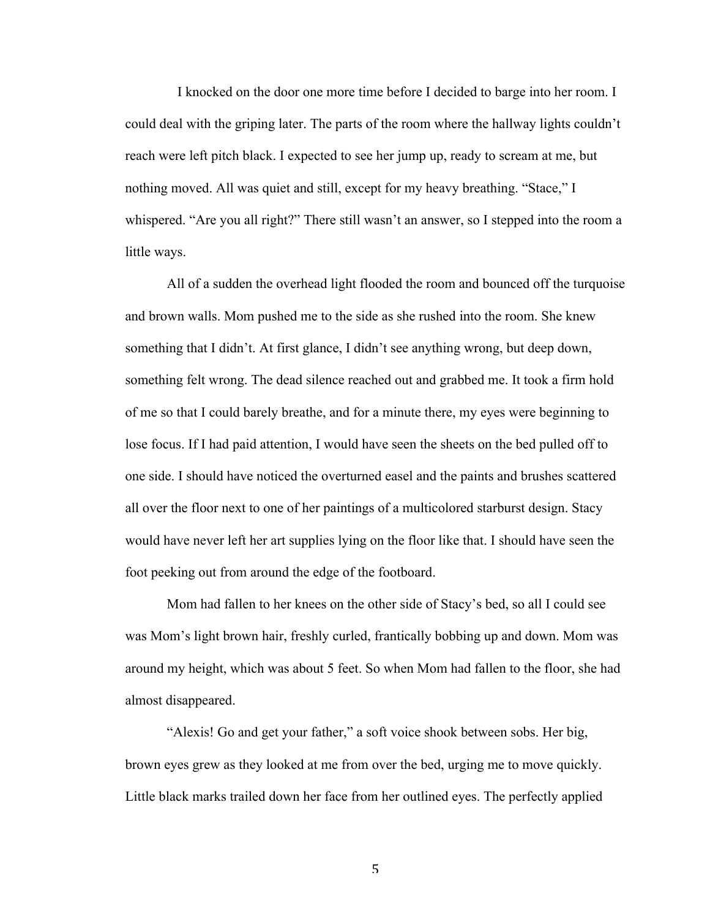I knocked on the door one more time before I decided to barge into her room. I could deal with the griping later. The parts of the room where the hallway lights couldn't reach were left pitch black. I expected to see her jump up, ready to scream at me, but nothing moved. All was quiet and still, except for my heavy breathing. "Stace," I whispered. "Are you all right?" There still wasn't an answer, so I stepped into the room a little ways.

All of a sudden the overhead light flooded the room and bounced off the turquoise and brown walls. Mom pushed me to the side as she rushed into the room. She knew something that I didn't. At first glance, I didn't see anything wrong, but deep down, something felt wrong. The dead silence reached out and grabbed me. It took a firm hold of me so that I could barely breathe, and for a minute there, my eyes were beginning to lose focus. If I had paid attention, I would have seen the sheets on the bed pulled off to one side. I should have noticed the overturned easel and the paints and brushes scattered all over the floor next to one of her paintings of a multicolored starburst design. Stacy would have never left her art supplies lying on the floor like that. I should have seen the foot peeking out from around the edge of the footboard.

Mom had fallen to her knees on the other side of Stacy's bed, so all I could see was Mom's light brown hair, freshly curled, frantically bobbing up and down. Mom was around my height, which was about 5 feet. So when Mom had fallen to the floor, she had almost disappeared.

"Alexis! Go and get your father," a soft voice shook between sobs. Her big, brown eyes grew as they looked at me from over the bed, urging me to move quickly. Little black marks trailed down her face from her outlined eyes. The perfectly applied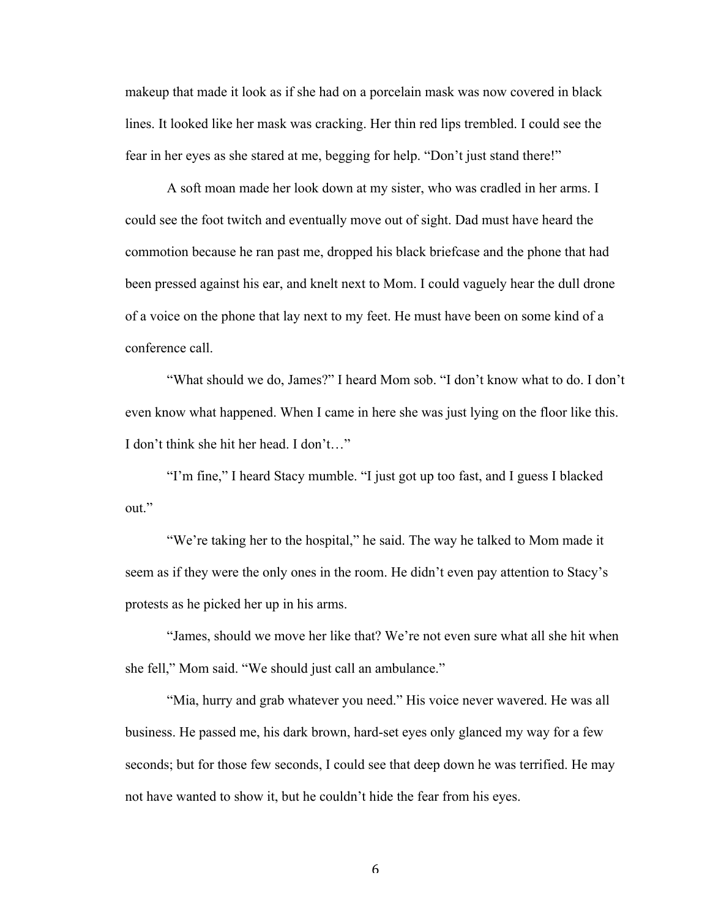makeup that made it look as if she had on a porcelain mask was now covered in black lines. It looked like her mask was cracking. Her thin red lips trembled. I could see the fear in her eyes as she stared at me, begging for help. "Don't just stand there!"

A soft moan made her look down at my sister, who was cradled in her arms. I could see the foot twitch and eventually move out of sight. Dad must have heard the commotion because he ran past me, dropped his black briefcase and the phone that had been pressed against his ear, and knelt next to Mom. I could vaguely hear the dull drone of a voice on the phone that lay next to my feet. He must have been on some kind of a conference call.

"What should we do, James?" I heard Mom sob. "I don't know what to do. I don't even know what happened. When I came in here she was just lying on the floor like this. I don't think she hit her head. I don't…"

"I'm fine," I heard Stacy mumble. "I just got up too fast, and I guess I blacked out."

"We're taking her to the hospital," he said. The way he talked to Mom made it seem as if they were the only ones in the room. He didn't even pay attention to Stacy's protests as he picked her up in his arms.

"James, should we move her like that? We're not even sure what all she hit when she fell," Mom said. "We should just call an ambulance."

"Mia, hurry and grab whatever you need." His voice never wavered. He was all business. He passed me, his dark brown, hard-set eyes only glanced my way for a few seconds; but for those few seconds, I could see that deep down he was terrified. He may not have wanted to show it, but he couldn't hide the fear from his eyes.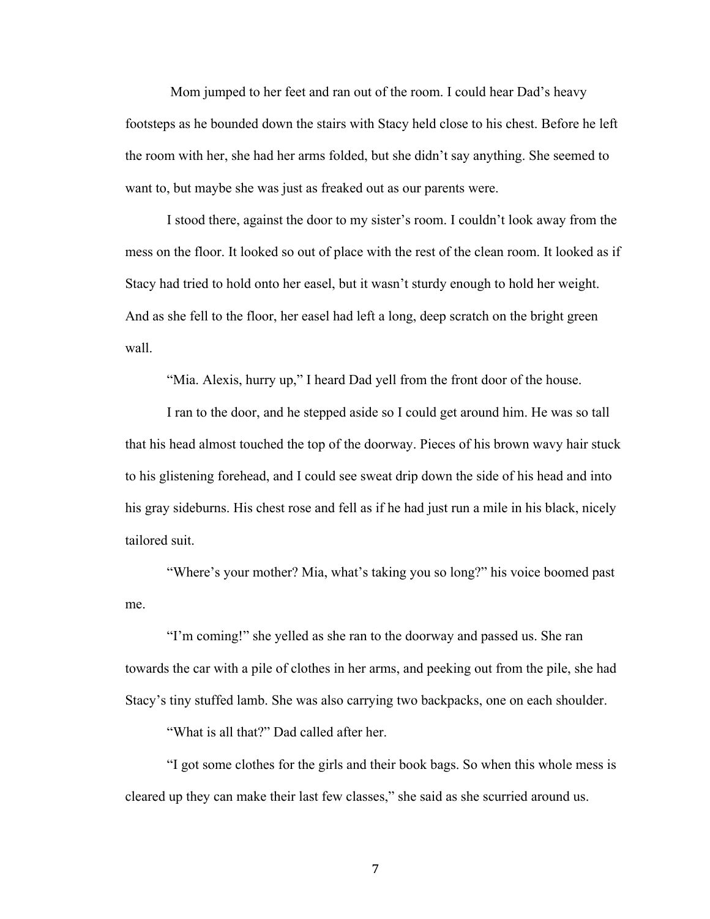Mom jumped to her feet and ran out of the room. I could hear Dad's heavy footsteps as he bounded down the stairs with Stacy held close to his chest. Before he left the room with her, she had her arms folded, but she didn't say anything. She seemed to want to, but maybe she was just as freaked out as our parents were.

I stood there, against the door to my sister's room. I couldn't look away from the mess on the floor. It looked so out of place with the rest of the clean room. It looked as if Stacy had tried to hold onto her easel, but it wasn't sturdy enough to hold her weight. And as she fell to the floor, her easel had left a long, deep scratch on the bright green wall.

"Mia. Alexis, hurry up," I heard Dad yell from the front door of the house.

I ran to the door, and he stepped aside so I could get around him. He was so tall that his head almost touched the top of the doorway. Pieces of his brown wavy hair stuck to his glistening forehead, and I could see sweat drip down the side of his head and into his gray sideburns. His chest rose and fell as if he had just run a mile in his black, nicely tailored suit.

"Where's your mother? Mia, what's taking you so long?" his voice boomed past me.

"I'm coming!" she yelled as she ran to the doorway and passed us. She ran towards the car with a pile of clothes in her arms, and peeking out from the pile, she had Stacy's tiny stuffed lamb. She was also carrying two backpacks, one on each shoulder.

"What is all that?" Dad called after her.

"I got some clothes for the girls and their book bags. So when this whole mess is cleared up they can make their last few classes," she said as she scurried around us.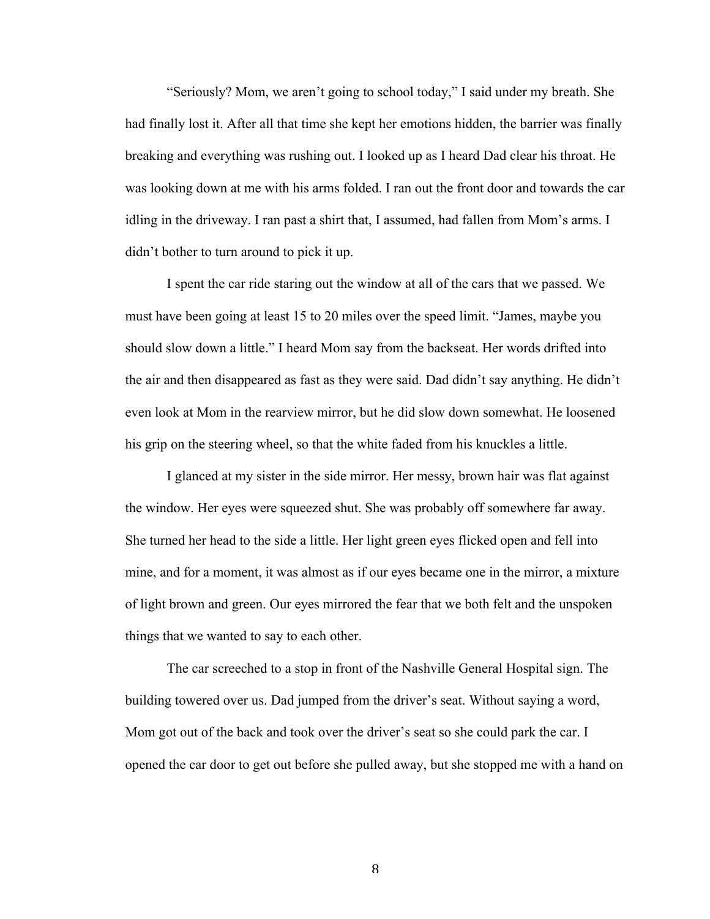"Seriously? Mom, we aren't going to school today," I said under my breath. She had finally lost it. After all that time she kept her emotions hidden, the barrier was finally breaking and everything was rushing out. I looked up as I heard Dad clear his throat. He was looking down at me with his arms folded. I ran out the front door and towards the car idling in the driveway. I ran past a shirt that, I assumed, had fallen from Mom's arms. I didn't bother to turn around to pick it up.

I spent the car ride staring out the window at all of the cars that we passed. We must have been going at least 15 to 20 miles over the speed limit. "James, maybe you should slow down a little." I heard Mom say from the backseat. Her words drifted into the air and then disappeared as fast as they were said. Dad didn't say anything. He didn't even look at Mom in the rearview mirror, but he did slow down somewhat. He loosened his grip on the steering wheel, so that the white faded from his knuckles a little.

I glanced at my sister in the side mirror. Her messy, brown hair was flat against the window. Her eyes were squeezed shut. She was probably off somewhere far away. She turned her head to the side a little. Her light green eyes flicked open and fell into mine, and for a moment, it was almost as if our eyes became one in the mirror, a mixture of light brown and green. Our eyes mirrored the fear that we both felt and the unspoken things that we wanted to say to each other.

The car screeched to a stop in front of the Nashville General Hospital sign. The building towered over us. Dad jumped from the driver's seat. Without saying a word, Mom got out of the back and took over the driver's seat so she could park the car. I opened the car door to get out before she pulled away, but she stopped me with a hand on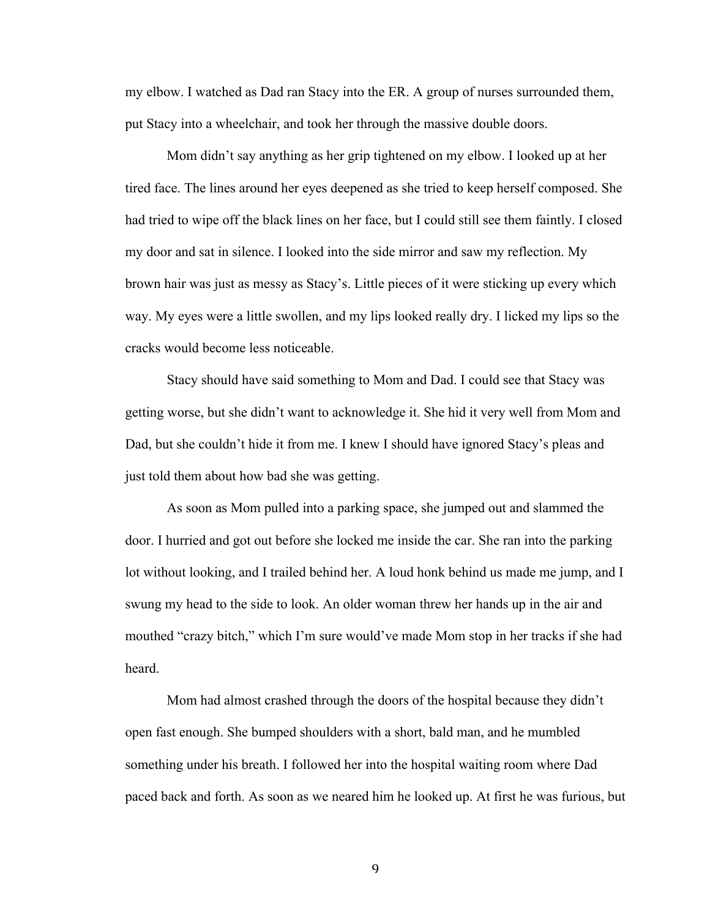my elbow. I watched as Dad ran Stacy into the ER. A group of nurses surrounded them, put Stacy into a wheelchair, and took her through the massive double doors.

Mom didn't say anything as her grip tightened on my elbow. I looked up at her tired face. The lines around her eyes deepened as she tried to keep herself composed. She had tried to wipe off the black lines on her face, but I could still see them faintly. I closed my door and sat in silence. I looked into the side mirror and saw my reflection. My brown hair was just as messy as Stacy's. Little pieces of it were sticking up every which way. My eyes were a little swollen, and my lips looked really dry. I licked my lips so the cracks would become less noticeable.

Stacy should have said something to Mom and Dad. I could see that Stacy was getting worse, but she didn't want to acknowledge it. She hid it very well from Mom and Dad, but she couldn't hide it from me. I knew I should have ignored Stacy's pleas and just told them about how bad she was getting.

As soon as Mom pulled into a parking space, she jumped out and slammed the door. I hurried and got out before she locked me inside the car. She ran into the parking lot without looking, and I trailed behind her. A loud honk behind us made me jump, and I swung my head to the side to look. An older woman threw her hands up in the air and mouthed "crazy bitch," which I'm sure would've made Mom stop in her tracks if she had heard.

Mom had almost crashed through the doors of the hospital because they didn't open fast enough. She bumped shoulders with a short, bald man, and he mumbled something under his breath. I followed her into the hospital waiting room where Dad paced back and forth. As soon as we neared him he looked up. At first he was furious, but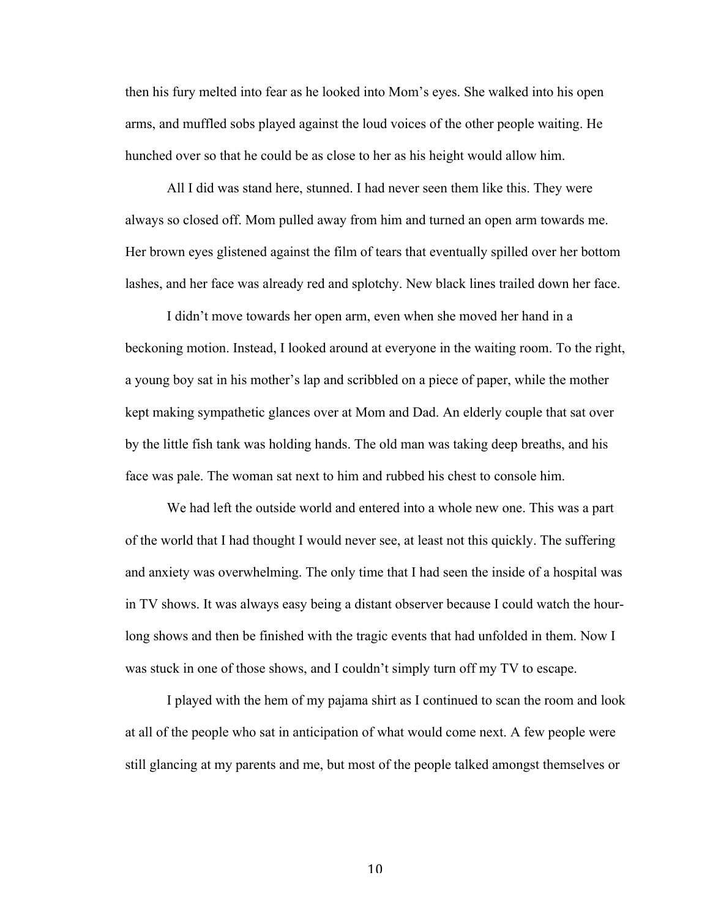then his fury melted into fear as he looked into Mom's eyes. She walked into his open arms, and muffled sobs played against the loud voices of the other people waiting. He hunched over so that he could be as close to her as his height would allow him.

All I did was stand here, stunned. I had never seen them like this. They were always so closed off. Mom pulled away from him and turned an open arm towards me. Her brown eyes glistened against the film of tears that eventually spilled over her bottom lashes, and her face was already red and splotchy. New black lines trailed down her face.

I didn't move towards her open arm, even when she moved her hand in a beckoning motion. Instead, I looked around at everyone in the waiting room. To the right, a young boy sat in his mother's lap and scribbled on a piece of paper, while the mother kept making sympathetic glances over at Mom and Dad. An elderly couple that sat over by the little fish tank was holding hands. The old man was taking deep breaths, and his face was pale. The woman sat next to him and rubbed his chest to console him.

We had left the outside world and entered into a whole new one. This was a part of the world that I had thought I would never see, at least not this quickly. The suffering and anxiety was overwhelming. The only time that I had seen the inside of a hospital was in TV shows. It was always easy being a distant observer because I could watch the hourlong shows and then be finished with the tragic events that had unfolded in them. Now I was stuck in one of those shows, and I couldn't simply turn off my TV to escape.

I played with the hem of my pajama shirt as I continued to scan the room and look at all of the people who sat in anticipation of what would come next. A few people were still glancing at my parents and me, but most of the people talked amongst themselves or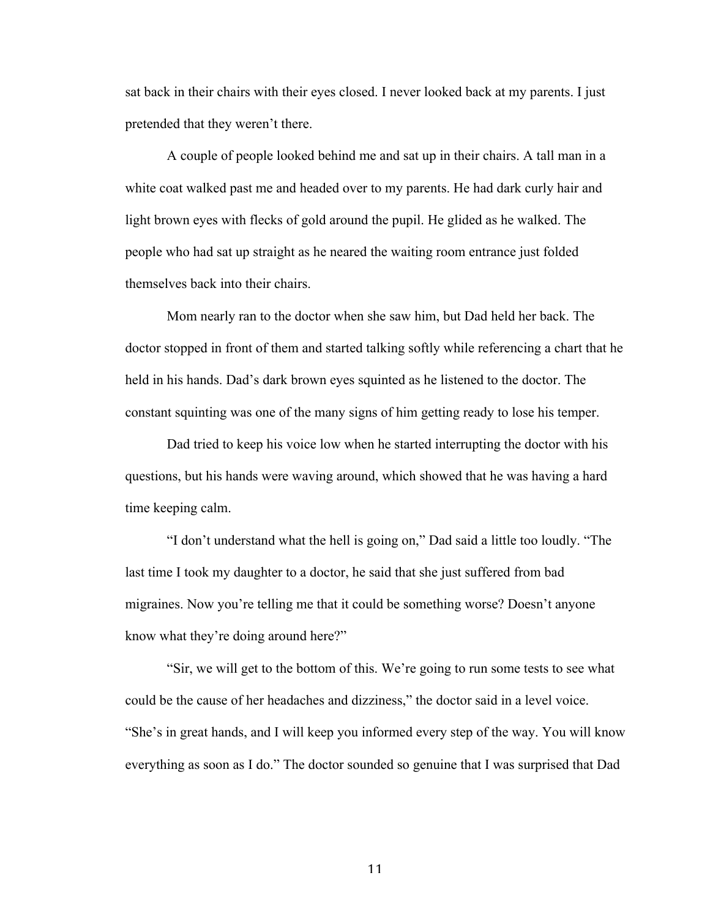sat back in their chairs with their eyes closed. I never looked back at my parents. I just pretended that they weren't there.

A couple of people looked behind me and sat up in their chairs. A tall man in a white coat walked past me and headed over to my parents. He had dark curly hair and light brown eyes with flecks of gold around the pupil. He glided as he walked. The people who had sat up straight as he neared the waiting room entrance just folded themselves back into their chairs.

Mom nearly ran to the doctor when she saw him, but Dad held her back. The doctor stopped in front of them and started talking softly while referencing a chart that he held in his hands. Dad's dark brown eyes squinted as he listened to the doctor. The constant squinting was one of the many signs of him getting ready to lose his temper.

Dad tried to keep his voice low when he started interrupting the doctor with his questions, but his hands were waving around, which showed that he was having a hard time keeping calm.

"I don't understand what the hell is going on," Dad said a little too loudly. "The last time I took my daughter to a doctor, he said that she just suffered from bad migraines. Now you're telling me that it could be something worse? Doesn't anyone know what they're doing around here?"

"Sir, we will get to the bottom of this. We're going to run some tests to see what could be the cause of her headaches and dizziness," the doctor said in a level voice. "She's in great hands, and I will keep you informed every step of the way. You will know everything as soon as I do." The doctor sounded so genuine that I was surprised that Dad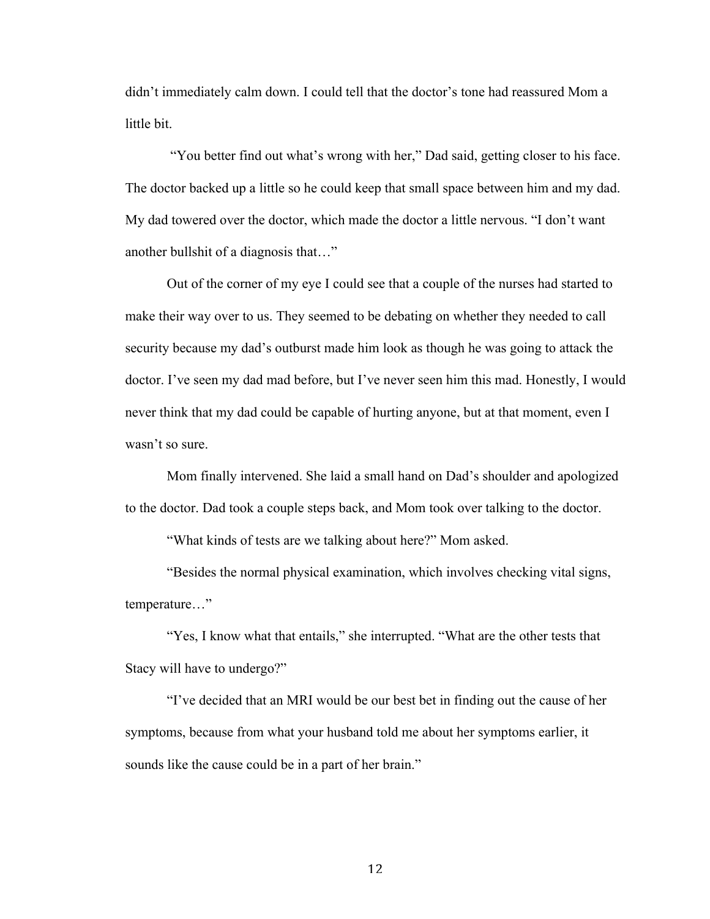didn't immediately calm down. I could tell that the doctor's tone had reassured Mom a little bit.

"You better find out what's wrong with her," Dad said, getting closer to his face. The doctor backed up a little so he could keep that small space between him and my dad. My dad towered over the doctor, which made the doctor a little nervous. "I don't want another bullshit of a diagnosis that…"

Out of the corner of my eye I could see that a couple of the nurses had started to make their way over to us. They seemed to be debating on whether they needed to call security because my dad's outburst made him look as though he was going to attack the doctor. I've seen my dad mad before, but I've never seen him this mad. Honestly, I would never think that my dad could be capable of hurting anyone, but at that moment, even I wasn't so sure.

Mom finally intervened. She laid a small hand on Dad's shoulder and apologized to the doctor. Dad took a couple steps back, and Mom took over talking to the doctor.

"What kinds of tests are we talking about here?" Mom asked.

"Besides the normal physical examination, which involves checking vital signs, temperature…"

"Yes, I know what that entails," she interrupted. "What are the other tests that Stacy will have to undergo?"

"I've decided that an MRI would be our best bet in finding out the cause of her symptoms, because from what your husband told me about her symptoms earlier, it sounds like the cause could be in a part of her brain."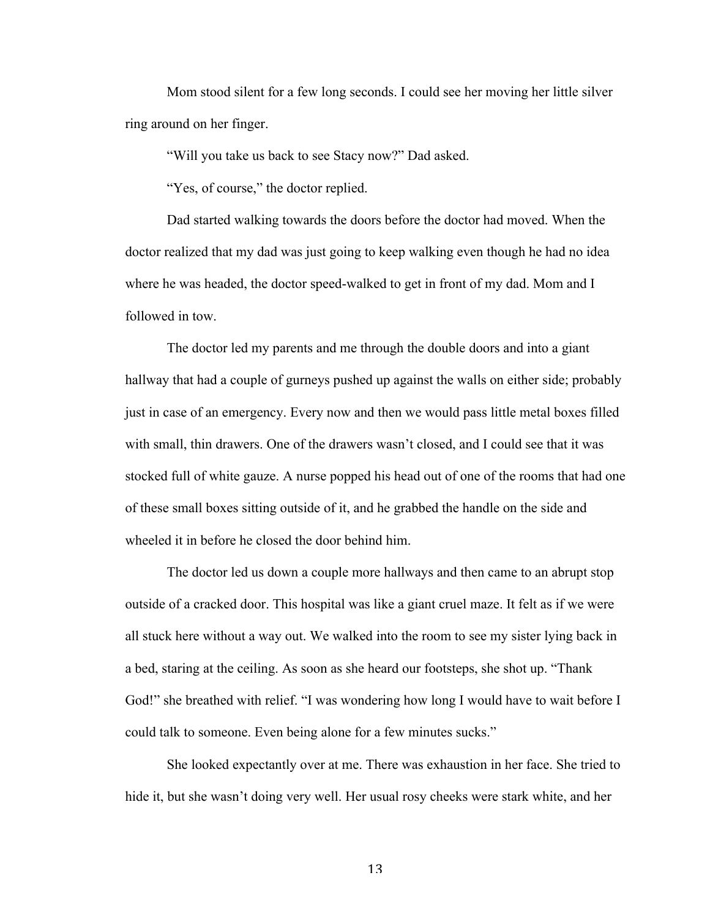Mom stood silent for a few long seconds. I could see her moving her little silver ring around on her finger.

"Will you take us back to see Stacy now?" Dad asked.

"Yes, of course," the doctor replied.

Dad started walking towards the doors before the doctor had moved. When the doctor realized that my dad was just going to keep walking even though he had no idea where he was headed, the doctor speed-walked to get in front of my dad. Mom and I followed in tow.

The doctor led my parents and me through the double doors and into a giant hallway that had a couple of gurneys pushed up against the walls on either side; probably just in case of an emergency. Every now and then we would pass little metal boxes filled with small, thin drawers. One of the drawers wasn't closed, and I could see that it was stocked full of white gauze. A nurse popped his head out of one of the rooms that had one of these small boxes sitting outside of it, and he grabbed the handle on the side and wheeled it in before he closed the door behind him.

The doctor led us down a couple more hallways and then came to an abrupt stop outside of a cracked door. This hospital was like a giant cruel maze. It felt as if we were all stuck here without a way out. We walked into the room to see my sister lying back in a bed, staring at the ceiling. As soon as she heard our footsteps, she shot up. "Thank God!" she breathed with relief. "I was wondering how long I would have to wait before I could talk to someone. Even being alone for a few minutes sucks."

She looked expectantly over at me. There was exhaustion in her face. She tried to hide it, but she wasn't doing very well. Her usual rosy cheeks were stark white, and her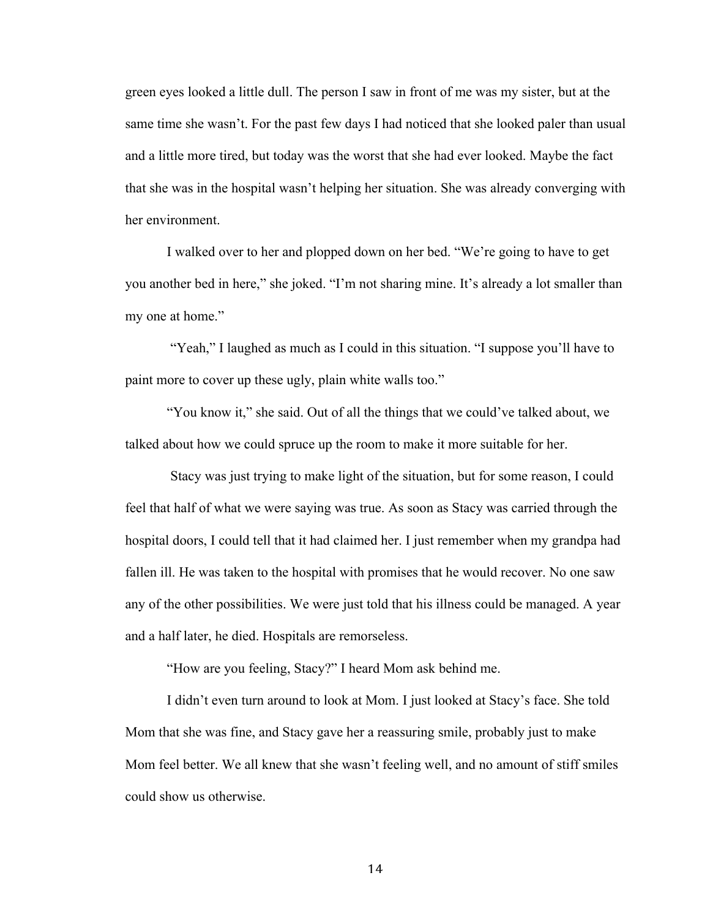green eyes looked a little dull. The person I saw in front of me was my sister, but at the same time she wasn't. For the past few days I had noticed that she looked paler than usual and a little more tired, but today was the worst that she had ever looked. Maybe the fact that she was in the hospital wasn't helping her situation. She was already converging with her environment.

I walked over to her and plopped down on her bed. "We're going to have to get you another bed in here," she joked. "I'm not sharing mine. It's already a lot smaller than my one at home."

"Yeah," I laughed as much as I could in this situation. "I suppose you'll have to paint more to cover up these ugly, plain white walls too."

"You know it," she said. Out of all the things that we could've talked about, we talked about how we could spruce up the room to make it more suitable for her.

Stacy was just trying to make light of the situation, but for some reason, I could feel that half of what we were saying was true. As soon as Stacy was carried through the hospital doors, I could tell that it had claimed her. I just remember when my grandpa had fallen ill. He was taken to the hospital with promises that he would recover. No one saw any of the other possibilities. We were just told that his illness could be managed. A year and a half later, he died. Hospitals are remorseless.

"How are you feeling, Stacy?" I heard Mom ask behind me.

I didn't even turn around to look at Mom. I just looked at Stacy's face. She told Mom that she was fine, and Stacy gave her a reassuring smile, probably just to make Mom feel better. We all knew that she wasn't feeling well, and no amount of stiff smiles could show us otherwise.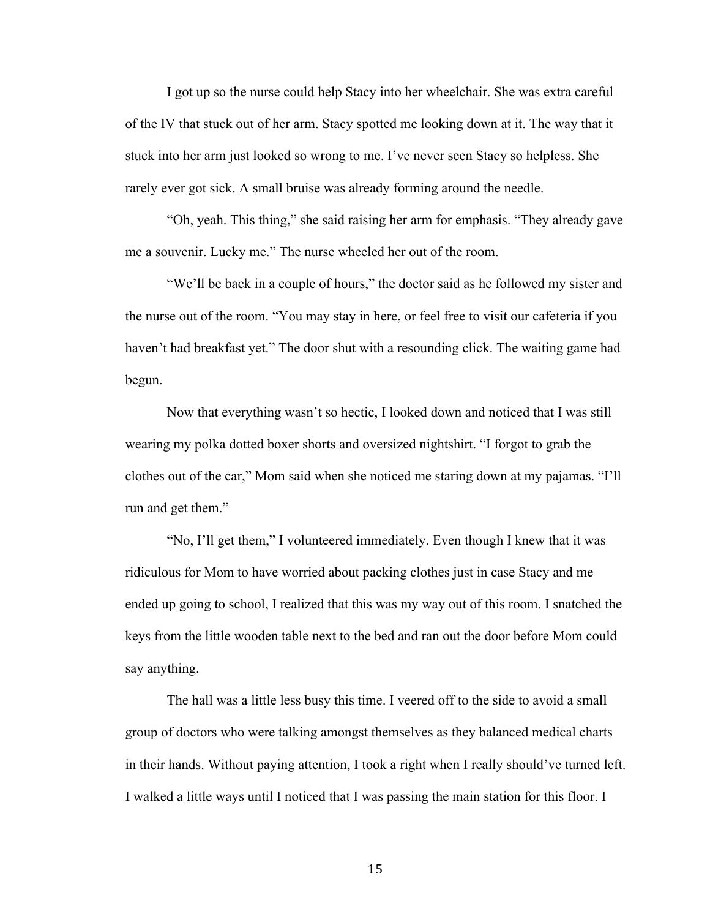I got up so the nurse could help Stacy into her wheelchair. She was extra careful of the IV that stuck out of her arm. Stacy spotted me looking down at it. The way that it stuck into her arm just looked so wrong to me. I've never seen Stacy so helpless. She rarely ever got sick. A small bruise was already forming around the needle.

"Oh, yeah. This thing," she said raising her arm for emphasis. "They already gave me a souvenir. Lucky me." The nurse wheeled her out of the room.

"We'll be back in a couple of hours," the doctor said as he followed my sister and the nurse out of the room. "You may stay in here, or feel free to visit our cafeteria if you haven't had breakfast yet." The door shut with a resounding click. The waiting game had begun.

Now that everything wasn't so hectic, I looked down and noticed that I was still wearing my polka dotted boxer shorts and oversized nightshirt. "I forgot to grab the clothes out of the car," Mom said when she noticed me staring down at my pajamas. "I'll run and get them."

"No, I'll get them," I volunteered immediately. Even though I knew that it was ridiculous for Mom to have worried about packing clothes just in case Stacy and me ended up going to school, I realized that this was my way out of this room. I snatched the keys from the little wooden table next to the bed and ran out the door before Mom could say anything.

The hall was a little less busy this time. I veered off to the side to avoid a small group of doctors who were talking amongst themselves as they balanced medical charts in their hands. Without paying attention, I took a right when I really should've turned left. I walked a little ways until I noticed that I was passing the main station for this floor. I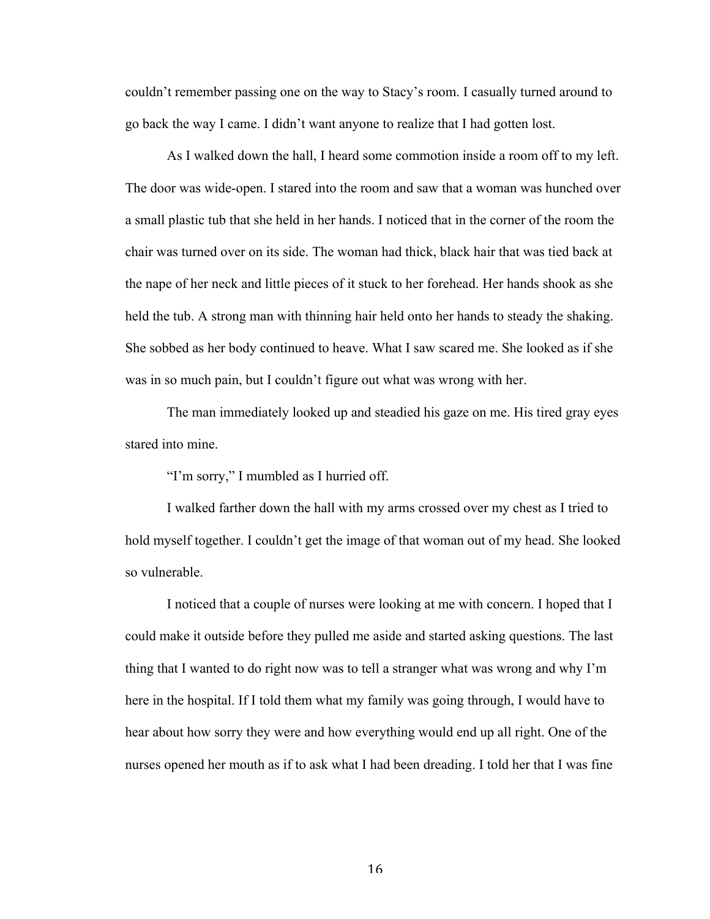couldn't remember passing one on the way to Stacy's room. I casually turned around to go back the way I came. I didn't want anyone to realize that I had gotten lost.

As I walked down the hall, I heard some commotion inside a room off to my left. The door was wide-open. I stared into the room and saw that a woman was hunched over a small plastic tub that she held in her hands. I noticed that in the corner of the room the chair was turned over on its side. The woman had thick, black hair that was tied back at the nape of her neck and little pieces of it stuck to her forehead. Her hands shook as she held the tub. A strong man with thinning hair held onto her hands to steady the shaking. She sobbed as her body continued to heave. What I saw scared me. She looked as if she was in so much pain, but I couldn't figure out what was wrong with her.

The man immediately looked up and steadied his gaze on me. His tired gray eyes stared into mine.

"I'm sorry," I mumbled as I hurried off.

I walked farther down the hall with my arms crossed over my chest as I tried to hold myself together. I couldn't get the image of that woman out of my head. She looked so vulnerable.

I noticed that a couple of nurses were looking at me with concern. I hoped that I could make it outside before they pulled me aside and started asking questions. The last thing that I wanted to do right now was to tell a stranger what was wrong and why I'm here in the hospital. If I told them what my family was going through, I would have to hear about how sorry they were and how everything would end up all right. One of the nurses opened her mouth as if to ask what I had been dreading. I told her that I was fine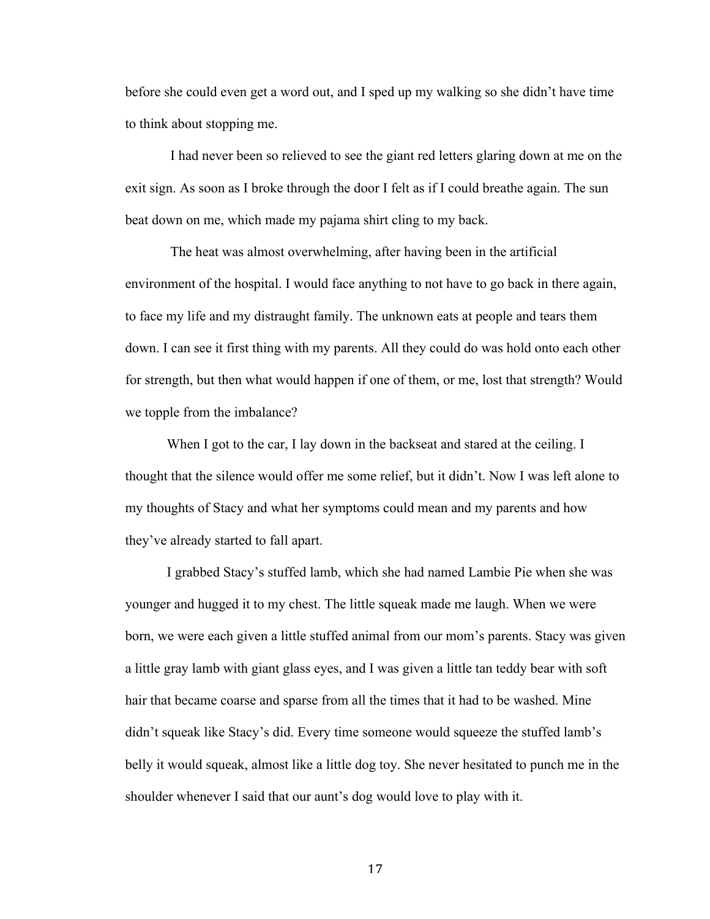before she could even get a word out, and I sped up my walking so she didn't have time to think about stopping me.

I had never been so relieved to see the giant red letters glaring down at me on the exit sign. As soon as I broke through the door I felt as if I could breathe again. The sun beat down on me, which made my pajama shirt cling to my back.

The heat was almost overwhelming, after having been in the artificial environment of the hospital. I would face anything to not have to go back in there again, to face my life and my distraught family. The unknown eats at people and tears them down. I can see it first thing with my parents. All they could do was hold onto each other for strength, but then what would happen if one of them, or me, lost that strength? Would we topple from the imbalance?

When I got to the car, I lay down in the backseat and stared at the ceiling. I thought that the silence would offer me some relief, but it didn't. Now I was left alone to my thoughts of Stacy and what her symptoms could mean and my parents and how they've already started to fall apart.

I grabbed Stacy's stuffed lamb, which she had named Lambie Pie when she was younger and hugged it to my chest. The little squeak made me laugh. When we were born, we were each given a little stuffed animal from our mom's parents. Stacy was given a little gray lamb with giant glass eyes, and I was given a little tan teddy bear with soft hair that became coarse and sparse from all the times that it had to be washed. Mine didn't squeak like Stacy's did. Every time someone would squeeze the stuffed lamb's belly it would squeak, almost like a little dog toy. She never hesitated to punch me in the shoulder whenever I said that our aunt's dog would love to play with it.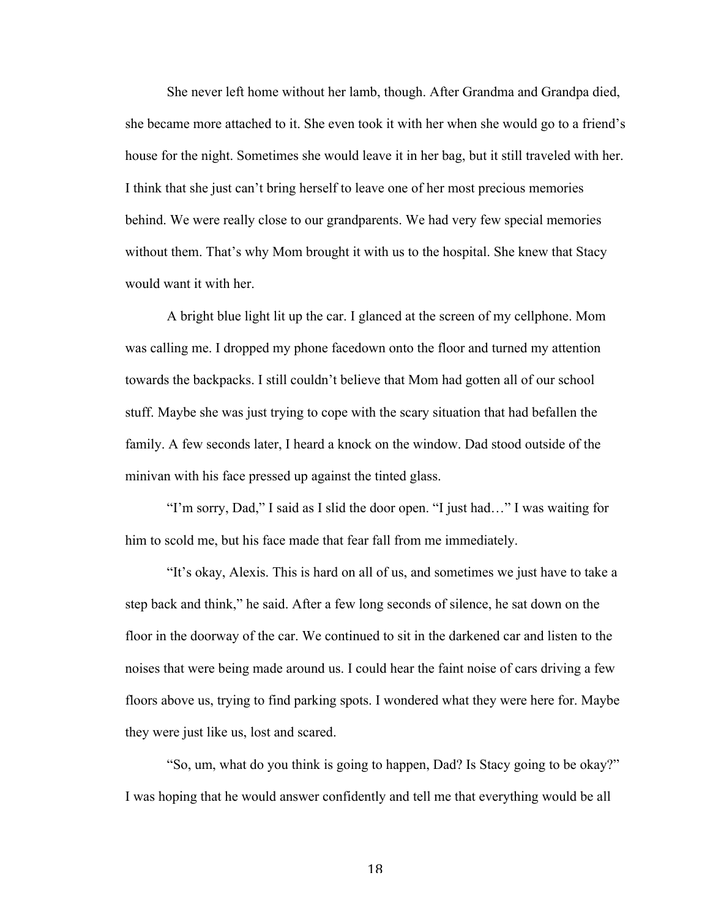She never left home without her lamb, though. After Grandma and Grandpa died, she became more attached to it. She even took it with her when she would go to a friend's house for the night. Sometimes she would leave it in her bag, but it still traveled with her. I think that she just can't bring herself to leave one of her most precious memories behind. We were really close to our grandparents. We had very few special memories without them. That's why Mom brought it with us to the hospital. She knew that Stacy would want it with her.

A bright blue light lit up the car. I glanced at the screen of my cellphone. Mom was calling me. I dropped my phone facedown onto the floor and turned my attention towards the backpacks. I still couldn't believe that Mom had gotten all of our school stuff. Maybe she was just trying to cope with the scary situation that had befallen the family. A few seconds later, I heard a knock on the window. Dad stood outside of the minivan with his face pressed up against the tinted glass.

"I'm sorry, Dad," I said as I slid the door open. "I just had…" I was waiting for him to scold me, but his face made that fear fall from me immediately.

"It's okay, Alexis. This is hard on all of us, and sometimes we just have to take a step back and think," he said. After a few long seconds of silence, he sat down on the floor in the doorway of the car. We continued to sit in the darkened car and listen to the noises that were being made around us. I could hear the faint noise of cars driving a few floors above us, trying to find parking spots. I wondered what they were here for. Maybe they were just like us, lost and scared.

"So, um, what do you think is going to happen, Dad? Is Stacy going to be okay?" I was hoping that he would answer confidently and tell me that everything would be all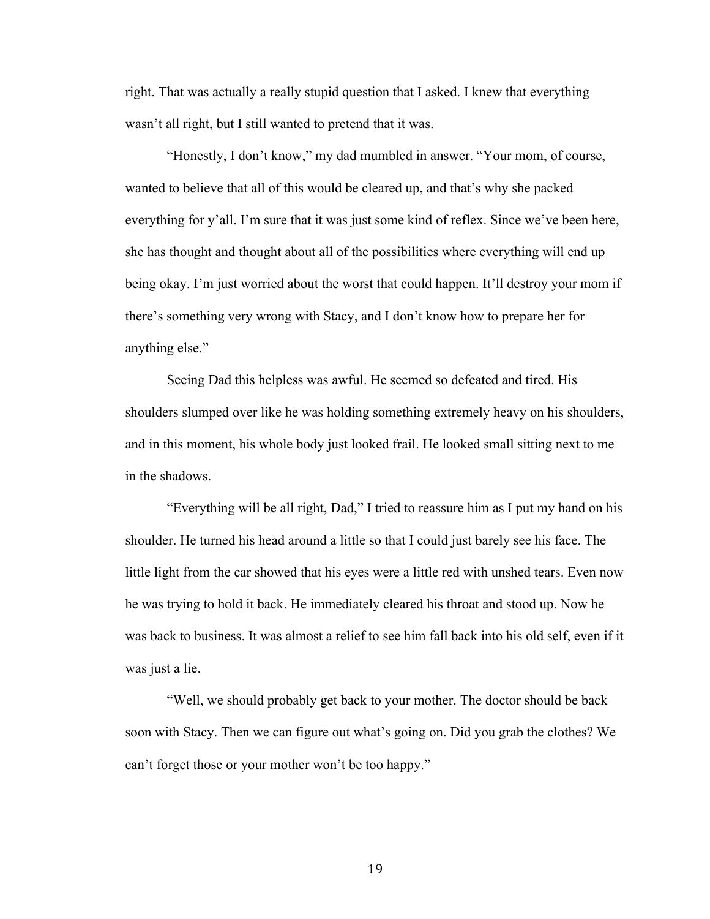right. That was actually a really stupid question that I asked. I knew that everything wasn't all right, but I still wanted to pretend that it was.

"Honestly, I don't know," my dad mumbled in answer. "Your mom, of course, wanted to believe that all of this would be cleared up, and that's why she packed everything for y'all. I'm sure that it was just some kind of reflex. Since we've been here, she has thought and thought about all of the possibilities where everything will end up being okay. I'm just worried about the worst that could happen. It'll destroy your mom if there's something very wrong with Stacy, and I don't know how to prepare her for anything else."

Seeing Dad this helpless was awful. He seemed so defeated and tired. His shoulders slumped over like he was holding something extremely heavy on his shoulders, and in this moment, his whole body just looked frail. He looked small sitting next to me in the shadows.

"Everything will be all right, Dad," I tried to reassure him as I put my hand on his shoulder. He turned his head around a little so that I could just barely see his face. The little light from the car showed that his eyes were a little red with unshed tears. Even now he was trying to hold it back. He immediately cleared his throat and stood up. Now he was back to business. It was almost a relief to see him fall back into his old self, even if it was just a lie.

"Well, we should probably get back to your mother. The doctor should be back soon with Stacy. Then we can figure out what's going on. Did you grab the clothes? We can't forget those or your mother won't be too happy."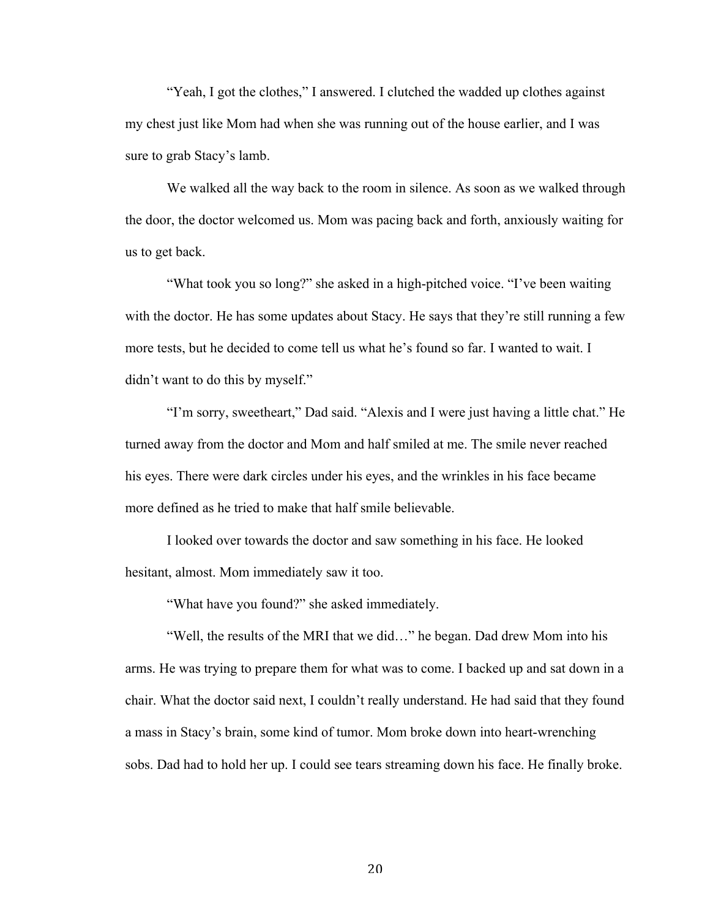"Yeah, I got the clothes," I answered. I clutched the wadded up clothes against my chest just like Mom had when she was running out of the house earlier, and I was sure to grab Stacy's lamb.

We walked all the way back to the room in silence. As soon as we walked through the door, the doctor welcomed us. Mom was pacing back and forth, anxiously waiting for us to get back.

"What took you so long?" she asked in a high-pitched voice. "I've been waiting with the doctor. He has some updates about Stacy. He says that they're still running a few more tests, but he decided to come tell us what he's found so far. I wanted to wait. I didn't want to do this by myself."

"I'm sorry, sweetheart," Dad said. "Alexis and I were just having a little chat." He turned away from the doctor and Mom and half smiled at me. The smile never reached his eyes. There were dark circles under his eyes, and the wrinkles in his face became more defined as he tried to make that half smile believable.

I looked over towards the doctor and saw something in his face. He looked hesitant, almost. Mom immediately saw it too.

"What have you found?" she asked immediately.

"Well, the results of the MRI that we did…" he began. Dad drew Mom into his arms. He was trying to prepare them for what was to come. I backed up and sat down in a chair. What the doctor said next, I couldn't really understand. He had said that they found a mass in Stacy's brain, some kind of tumor. Mom broke down into heart-wrenching sobs. Dad had to hold her up. I could see tears streaming down his face. He finally broke.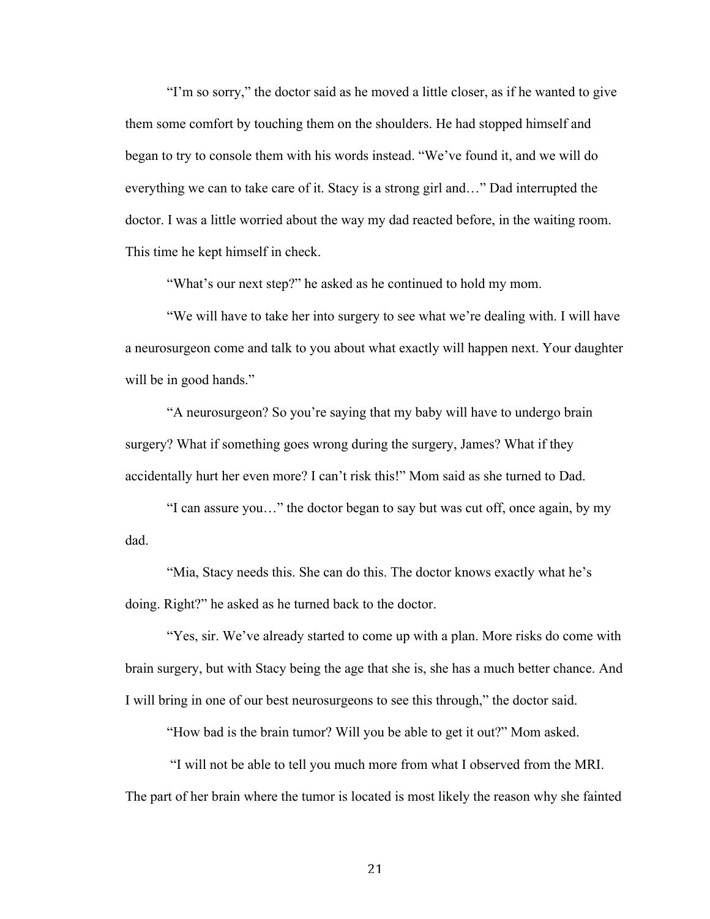"I'm so sorry," the doctor said as he moved a little closer, as if he wanted to give them some comfort by touching them on the shoulders. He had stopped himself and began to try to console them with his words instead. "We've found it, and we will do everything we can to take care of it. Stacy is a strong girl and…" Dad interrupted the doctor. I was a little worried about the way my dad reacted before, in the waiting room. This time he kept himself in check.

"What's our next step?" he asked as he continued to hold my mom.

"We will have to take her into surgery to see what we're dealing with. I will have a neurosurgeon come and talk to you about what exactly will happen next. Your daughter will be in good hands."

"A neurosurgeon? So you're saying that my baby will have to undergo brain surgery? What if something goes wrong during the surgery, James? What if they accidentally hurt her even more? I can't risk this!" Mom said as she turned to Dad.

"I can assure you…" the doctor began to say but was cut off, once again, by my dad.

"Mia, Stacy needs this. She can do this. The doctor knows exactly what he's doing. Right?" he asked as he turned back to the doctor.

"Yes, sir. We've already started to come up with a plan. More risks do come with brain surgery, but with Stacy being the age that she is, she has a much better chance. And I will bring in one of our best neurosurgeons to see this through," the doctor said.

"How bad is the brain tumor? Will you be able to get it out?" Mom asked.

"I will not be able to tell you much more from what I observed from the MRI. The part of her brain where the tumor is located is most likely the reason why she fainted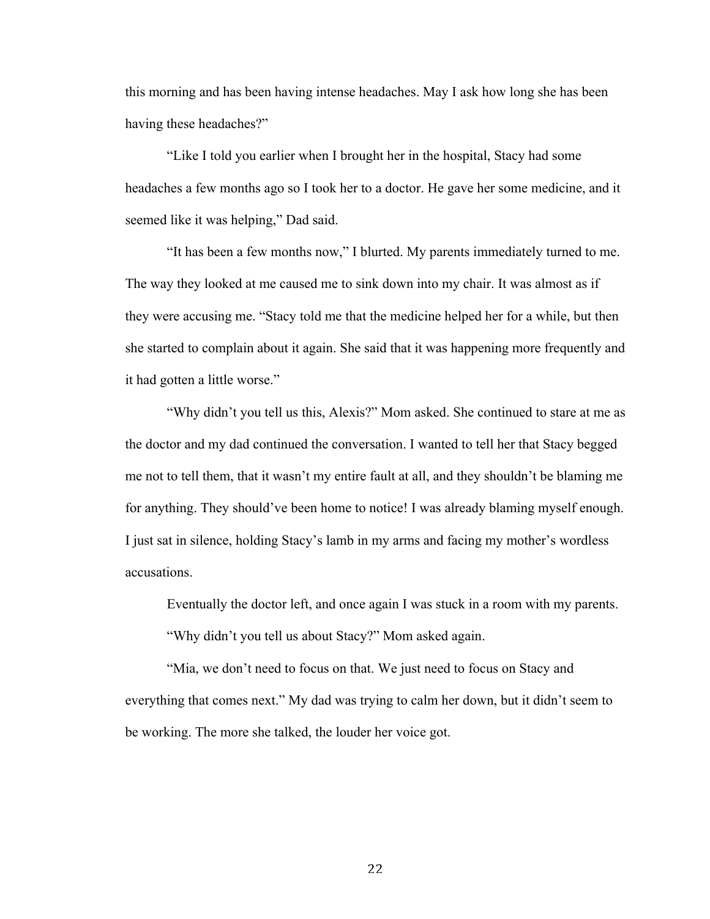this morning and has been having intense headaches. May I ask how long she has been having these headaches?"

"Like I told you earlier when I brought her in the hospital, Stacy had some headaches a few months ago so I took her to a doctor. He gave her some medicine, and it seemed like it was helping," Dad said.

"It has been a few months now," I blurted. My parents immediately turned to me. The way they looked at me caused me to sink down into my chair. It was almost as if they were accusing me. "Stacy told me that the medicine helped her for a while, but then she started to complain about it again. She said that it was happening more frequently and it had gotten a little worse."

"Why didn't you tell us this, Alexis?" Mom asked. She continued to stare at me as the doctor and my dad continued the conversation. I wanted to tell her that Stacy begged me not to tell them, that it wasn't my entire fault at all, and they shouldn't be blaming me for anything. They should've been home to notice! I was already blaming myself enough. I just sat in silence, holding Stacy's lamb in my arms and facing my mother's wordless accusations.

Eventually the doctor left, and once again I was stuck in a room with my parents. "Why didn't you tell us about Stacy?" Mom asked again.

"Mia, we don't need to focus on that. We just need to focus on Stacy and everything that comes next." My dad was trying to calm her down, but it didn't seem to be working. The more she talked, the louder her voice got.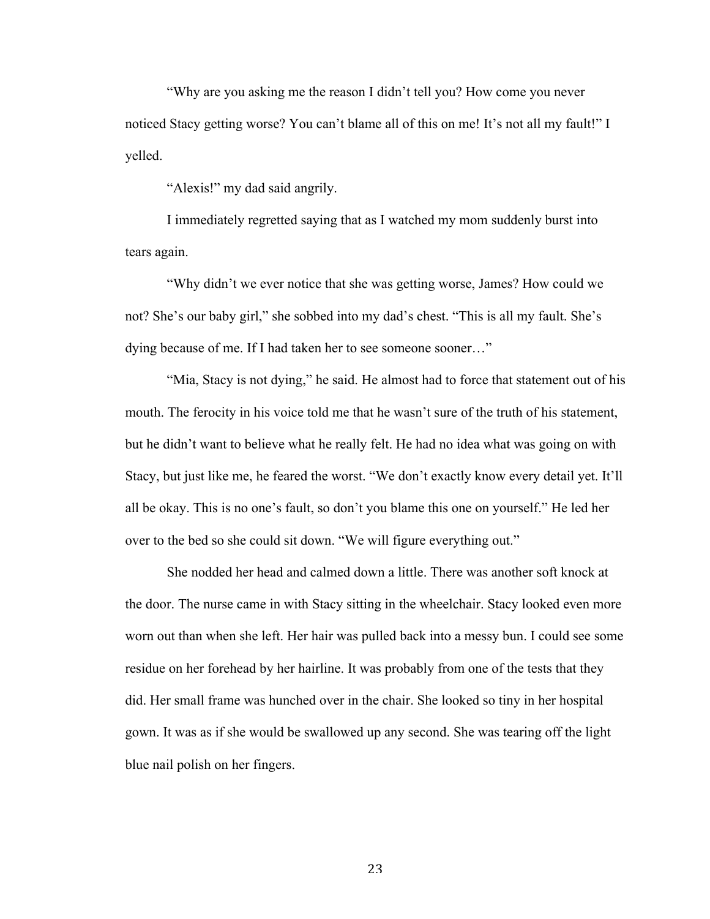"Why are you asking me the reason I didn't tell you? How come you never noticed Stacy getting worse? You can't blame all of this on me! It's not all my fault!" I yelled.

"Alexis!" my dad said angrily.

I immediately regretted saying that as I watched my mom suddenly burst into tears again.

"Why didn't we ever notice that she was getting worse, James? How could we not? She's our baby girl," she sobbed into my dad's chest. "This is all my fault. She's dying because of me. If I had taken her to see someone sooner…"

"Mia, Stacy is not dying," he said. He almost had to force that statement out of his mouth. The ferocity in his voice told me that he wasn't sure of the truth of his statement, but he didn't want to believe what he really felt. He had no idea what was going on with Stacy, but just like me, he feared the worst. "We don't exactly know every detail yet. It'll all be okay. This is no one's fault, so don't you blame this one on yourself." He led her over to the bed so she could sit down. "We will figure everything out."

She nodded her head and calmed down a little. There was another soft knock at the door. The nurse came in with Stacy sitting in the wheelchair. Stacy looked even more worn out than when she left. Her hair was pulled back into a messy bun. I could see some residue on her forehead by her hairline. It was probably from one of the tests that they did. Her small frame was hunched over in the chair. She looked so tiny in her hospital gown. It was as if she would be swallowed up any second. She was tearing off the light blue nail polish on her fingers.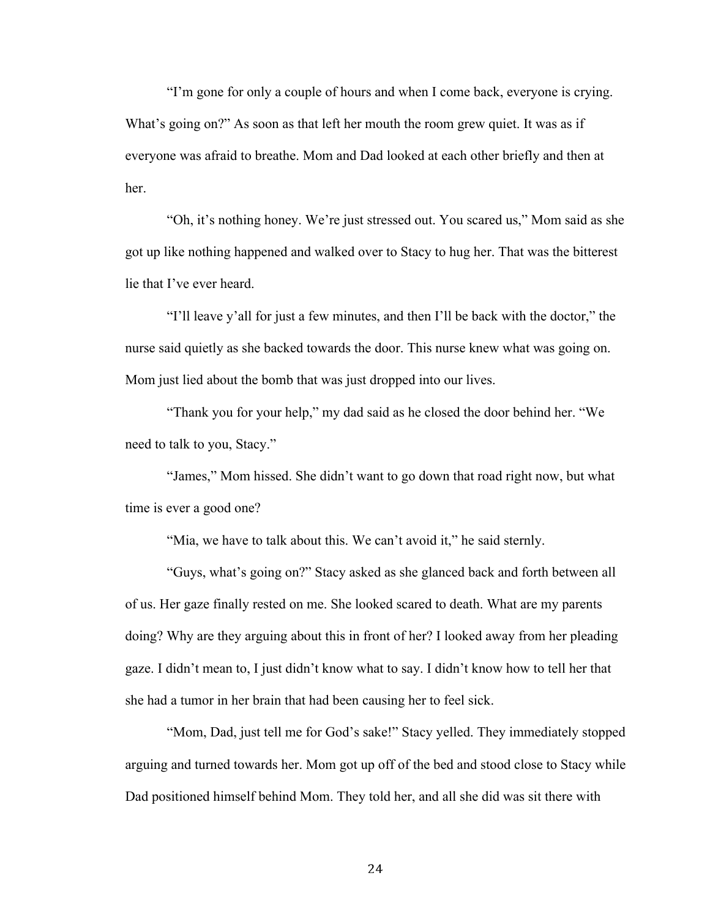"I'm gone for only a couple of hours and when I come back, everyone is crying. What's going on?" As soon as that left her mouth the room grew quiet. It was as if everyone was afraid to breathe. Mom and Dad looked at each other briefly and then at her.

"Oh, it's nothing honey. We're just stressed out. You scared us," Mom said as she got up like nothing happened and walked over to Stacy to hug her. That was the bitterest lie that I've ever heard.

"I'll leave y'all for just a few minutes, and then I'll be back with the doctor," the nurse said quietly as she backed towards the door. This nurse knew what was going on. Mom just lied about the bomb that was just dropped into our lives.

"Thank you for your help," my dad said as he closed the door behind her. "We need to talk to you, Stacy."

"James," Mom hissed. She didn't want to go down that road right now, but what time is ever a good one?

"Mia, we have to talk about this. We can't avoid it," he said sternly.

"Guys, what's going on?" Stacy asked as she glanced back and forth between all of us. Her gaze finally rested on me. She looked scared to death. What are my parents doing? Why are they arguing about this in front of her? I looked away from her pleading gaze. I didn't mean to, I just didn't know what to say. I didn't know how to tell her that she had a tumor in her brain that had been causing her to feel sick.

"Mom, Dad, just tell me for God's sake!" Stacy yelled. They immediately stopped arguing and turned towards her. Mom got up off of the bed and stood close to Stacy while Dad positioned himself behind Mom. They told her, and all she did was sit there with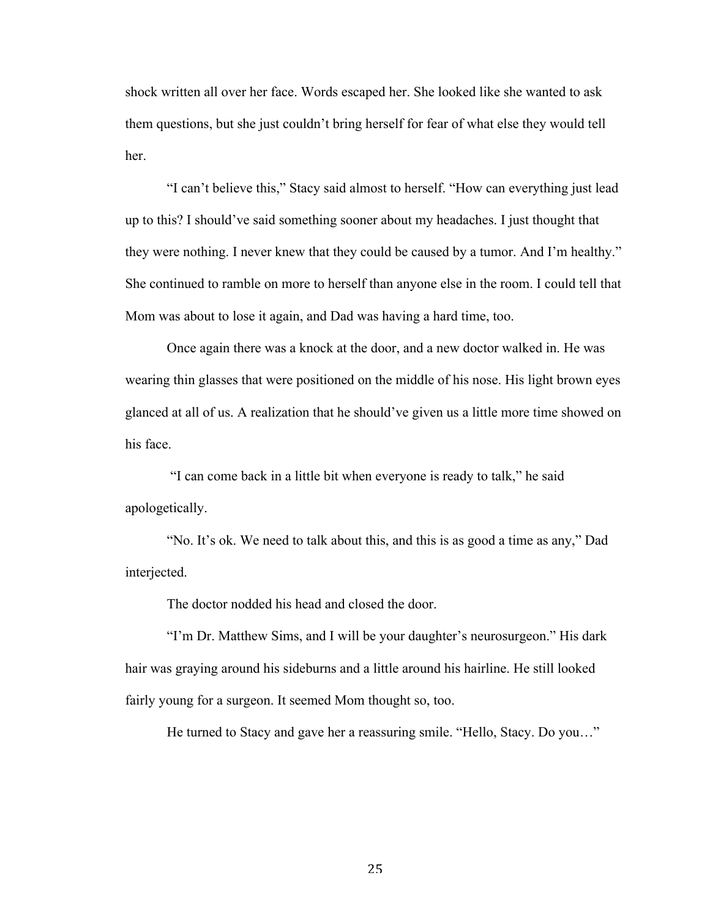shock written all over her face. Words escaped her. She looked like she wanted to ask them questions, but she just couldn't bring herself for fear of what else they would tell her.

"I can't believe this," Stacy said almost to herself. "How can everything just lead up to this? I should've said something sooner about my headaches. I just thought that they were nothing. I never knew that they could be caused by a tumor. And I'm healthy." She continued to ramble on more to herself than anyone else in the room. I could tell that Mom was about to lose it again, and Dad was having a hard time, too.

Once again there was a knock at the door, and a new doctor walked in. He was wearing thin glasses that were positioned on the middle of his nose. His light brown eyes glanced at all of us. A realization that he should've given us a little more time showed on his face.

"I can come back in a little bit when everyone is ready to talk," he said apologetically.

"No. It's ok. We need to talk about this, and this is as good a time as any," Dad interjected.

The doctor nodded his head and closed the door.

"I'm Dr. Matthew Sims, and I will be your daughter's neurosurgeon." His dark hair was graying around his sideburns and a little around his hairline. He still looked fairly young for a surgeon. It seemed Mom thought so, too.

He turned to Stacy and gave her a reassuring smile. "Hello, Stacy. Do you…"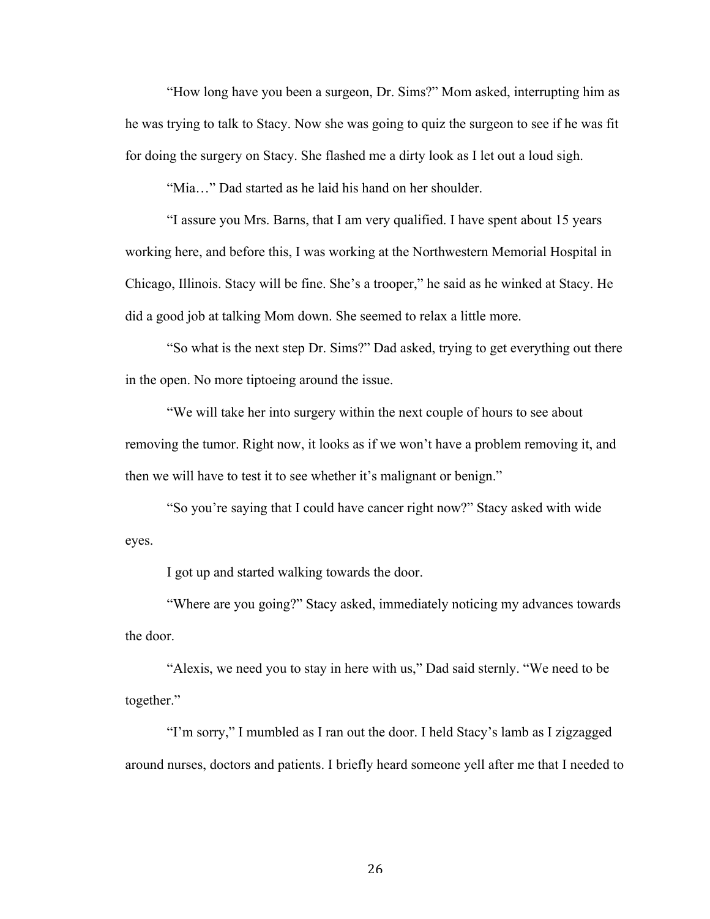"How long have you been a surgeon, Dr. Sims?" Mom asked, interrupting him as he was trying to talk to Stacy. Now she was going to quiz the surgeon to see if he was fit for doing the surgery on Stacy. She flashed me a dirty look as I let out a loud sigh.

"Mia…" Dad started as he laid his hand on her shoulder.

"I assure you Mrs. Barns, that I am very qualified. I have spent about 15 years working here, and before this, I was working at the Northwestern Memorial Hospital in Chicago, Illinois. Stacy will be fine. She's a trooper," he said as he winked at Stacy. He did a good job at talking Mom down. She seemed to relax a little more.

"So what is the next step Dr. Sims?" Dad asked, trying to get everything out there in the open. No more tiptoeing around the issue.

"We will take her into surgery within the next couple of hours to see about removing the tumor. Right now, it looks as if we won't have a problem removing it, and then we will have to test it to see whether it's malignant or benign."

"So you're saying that I could have cancer right now?" Stacy asked with wide eyes.

I got up and started walking towards the door.

"Where are you going?" Stacy asked, immediately noticing my advances towards the door.

"Alexis, we need you to stay in here with us," Dad said sternly. "We need to be together."

"I'm sorry," I mumbled as I ran out the door. I held Stacy's lamb as I zigzagged around nurses, doctors and patients. I briefly heard someone yell after me that I needed to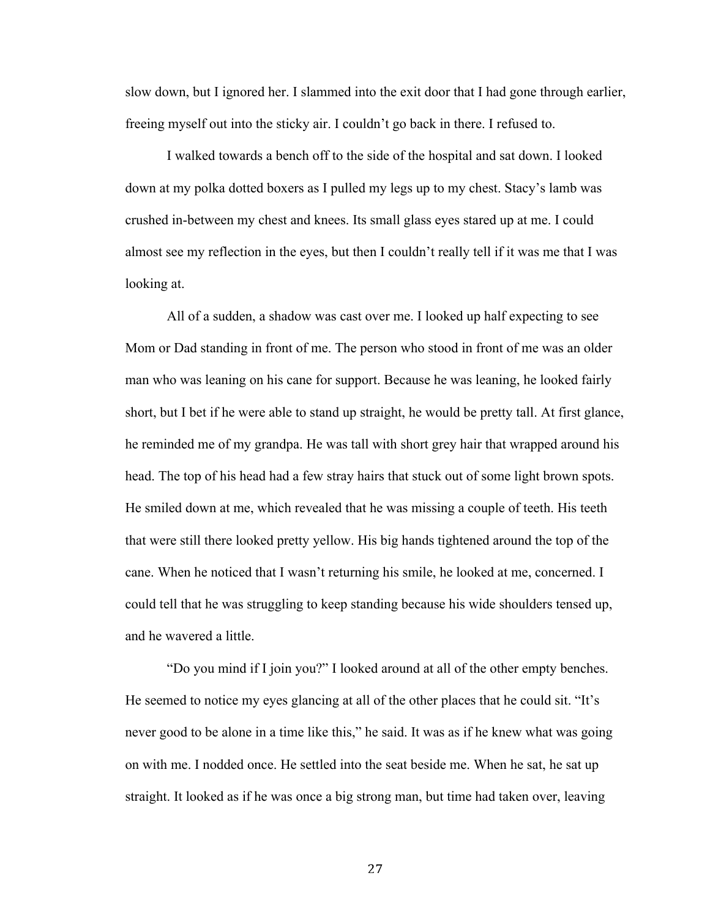slow down, but I ignored her. I slammed into the exit door that I had gone through earlier, freeing myself out into the sticky air. I couldn't go back in there. I refused to.

I walked towards a bench off to the side of the hospital and sat down. I looked down at my polka dotted boxers as I pulled my legs up to my chest. Stacy's lamb was crushed in-between my chest and knees. Its small glass eyes stared up at me. I could almost see my reflection in the eyes, but then I couldn't really tell if it was me that I was looking at.

All of a sudden, a shadow was cast over me. I looked up half expecting to see Mom or Dad standing in front of me. The person who stood in front of me was an older man who was leaning on his cane for support. Because he was leaning, he looked fairly short, but I bet if he were able to stand up straight, he would be pretty tall. At first glance, he reminded me of my grandpa. He was tall with short grey hair that wrapped around his head. The top of his head had a few stray hairs that stuck out of some light brown spots. He smiled down at me, which revealed that he was missing a couple of teeth. His teeth that were still there looked pretty yellow. His big hands tightened around the top of the cane. When he noticed that I wasn't returning his smile, he looked at me, concerned. I could tell that he was struggling to keep standing because his wide shoulders tensed up, and he wavered a little.

"Do you mind if I join you?" I looked around at all of the other empty benches. He seemed to notice my eyes glancing at all of the other places that he could sit. "It's never good to be alone in a time like this," he said. It was as if he knew what was going on with me. I nodded once. He settled into the seat beside me. When he sat, he sat up straight. It looked as if he was once a big strong man, but time had taken over, leaving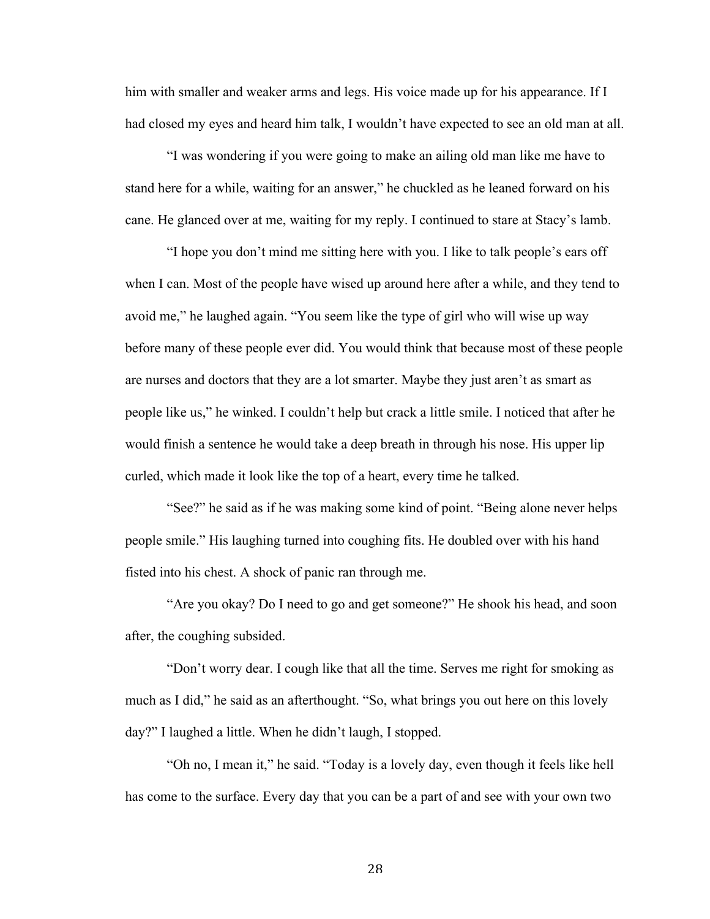him with smaller and weaker arms and legs. His voice made up for his appearance. If I had closed my eyes and heard him talk, I wouldn't have expected to see an old man at all.

"I was wondering if you were going to make an ailing old man like me have to stand here for a while, waiting for an answer," he chuckled as he leaned forward on his cane. He glanced over at me, waiting for my reply. I continued to stare at Stacy's lamb.

"I hope you don't mind me sitting here with you. I like to talk people's ears off when I can. Most of the people have wised up around here after a while, and they tend to avoid me," he laughed again. "You seem like the type of girl who will wise up way before many of these people ever did. You would think that because most of these people are nurses and doctors that they are a lot smarter. Maybe they just aren't as smart as people like us," he winked. I couldn't help but crack a little smile. I noticed that after he would finish a sentence he would take a deep breath in through his nose. His upper lip curled, which made it look like the top of a heart, every time he talked.

"See?" he said as if he was making some kind of point. "Being alone never helps people smile." His laughing turned into coughing fits. He doubled over with his hand fisted into his chest. A shock of panic ran through me.

"Are you okay? Do I need to go and get someone?" He shook his head, and soon after, the coughing subsided.

"Don't worry dear. I cough like that all the time. Serves me right for smoking as much as I did," he said as an afterthought. "So, what brings you out here on this lovely day?" I laughed a little. When he didn't laugh, I stopped.

"Oh no, I mean it," he said. "Today is a lovely day, even though it feels like hell has come to the surface. Every day that you can be a part of and see with your own two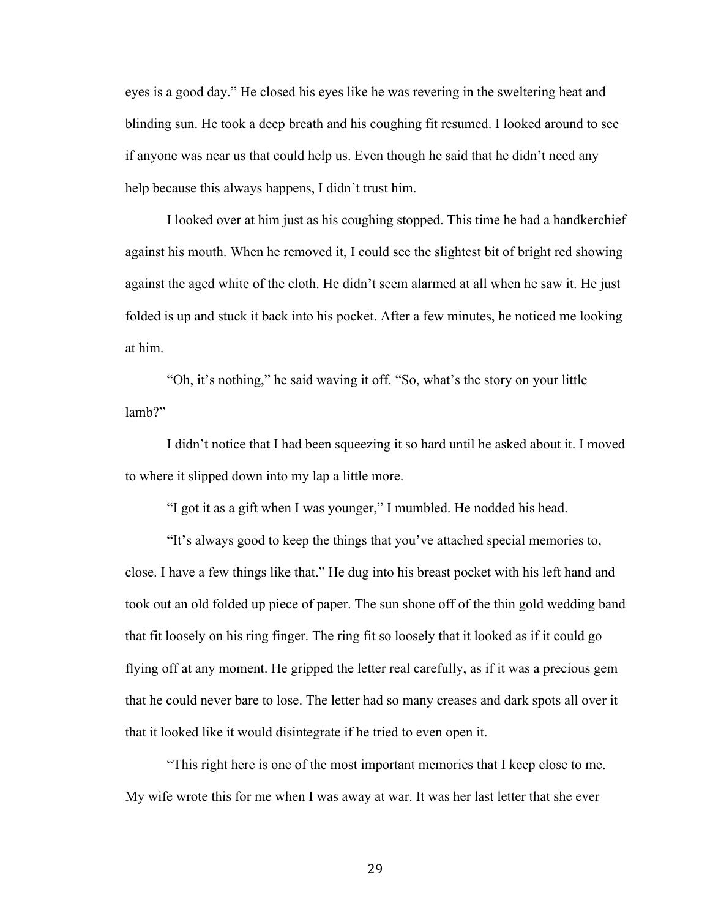eyes is a good day." He closed his eyes like he was revering in the sweltering heat and blinding sun. He took a deep breath and his coughing fit resumed. I looked around to see if anyone was near us that could help us. Even though he said that he didn't need any help because this always happens, I didn't trust him.

I looked over at him just as his coughing stopped. This time he had a handkerchief against his mouth. When he removed it, I could see the slightest bit of bright red showing against the aged white of the cloth. He didn't seem alarmed at all when he saw it. He just folded is up and stuck it back into his pocket. After a few minutes, he noticed me looking at him.

"Oh, it's nothing," he said waving it off. "So, what's the story on your little lamb?"

I didn't notice that I had been squeezing it so hard until he asked about it. I moved to where it slipped down into my lap a little more.

"I got it as a gift when I was younger," I mumbled. He nodded his head.

"It's always good to keep the things that you've attached special memories to, close. I have a few things like that." He dug into his breast pocket with his left hand and took out an old folded up piece of paper. The sun shone off of the thin gold wedding band that fit loosely on his ring finger. The ring fit so loosely that it looked as if it could go flying off at any moment. He gripped the letter real carefully, as if it was a precious gem that he could never bare to lose. The letter had so many creases and dark spots all over it that it looked like it would disintegrate if he tried to even open it.

"This right here is one of the most important memories that I keep close to me. My wife wrote this for me when I was away at war. It was her last letter that she ever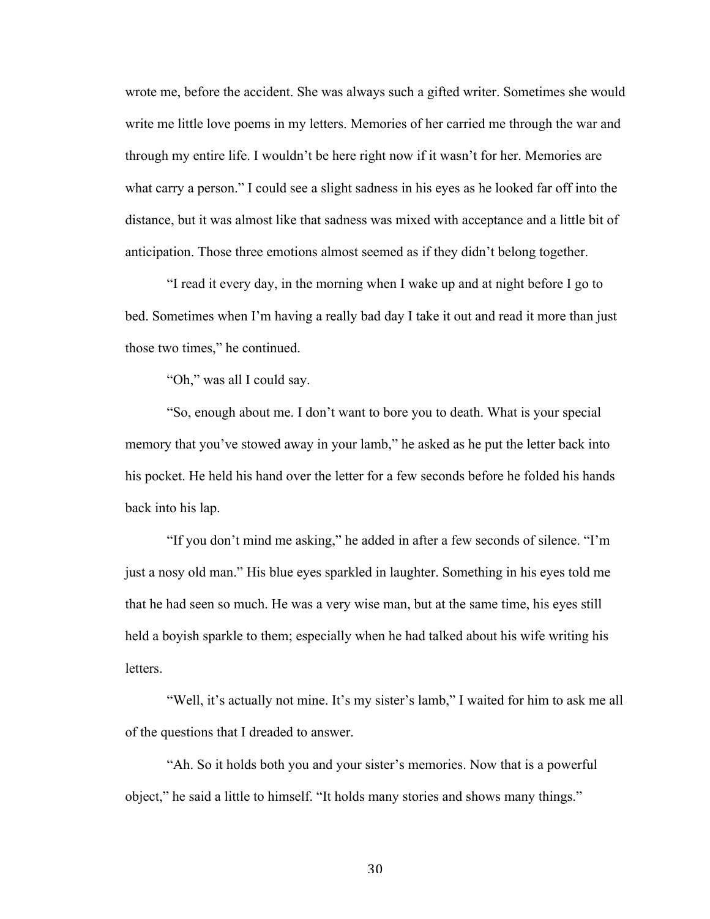wrote me, before the accident. She was always such a gifted writer. Sometimes she would write me little love poems in my letters. Memories of her carried me through the war and through my entire life. I wouldn't be here right now if it wasn't for her. Memories are what carry a person." I could see a slight sadness in his eyes as he looked far off into the distance, but it was almost like that sadness was mixed with acceptance and a little bit of anticipation. Those three emotions almost seemed as if they didn't belong together.

"I read it every day, in the morning when I wake up and at night before I go to bed. Sometimes when I'm having a really bad day I take it out and read it more than just those two times," he continued.

"Oh," was all I could say.

"So, enough about me. I don't want to bore you to death. What is your special memory that you've stowed away in your lamb," he asked as he put the letter back into his pocket. He held his hand over the letter for a few seconds before he folded his hands back into his lap.

"If you don't mind me asking," he added in after a few seconds of silence. "I'm just a nosy old man." His blue eyes sparkled in laughter. Something in his eyes told me that he had seen so much. He was a very wise man, but at the same time, his eyes still held a boyish sparkle to them; especially when he had talked about his wife writing his **letters** 

"Well, it's actually not mine. It's my sister's lamb," I waited for him to ask me all of the questions that I dreaded to answer.

"Ah. So it holds both you and your sister's memories. Now that is a powerful object," he said a little to himself. "It holds many stories and shows many things."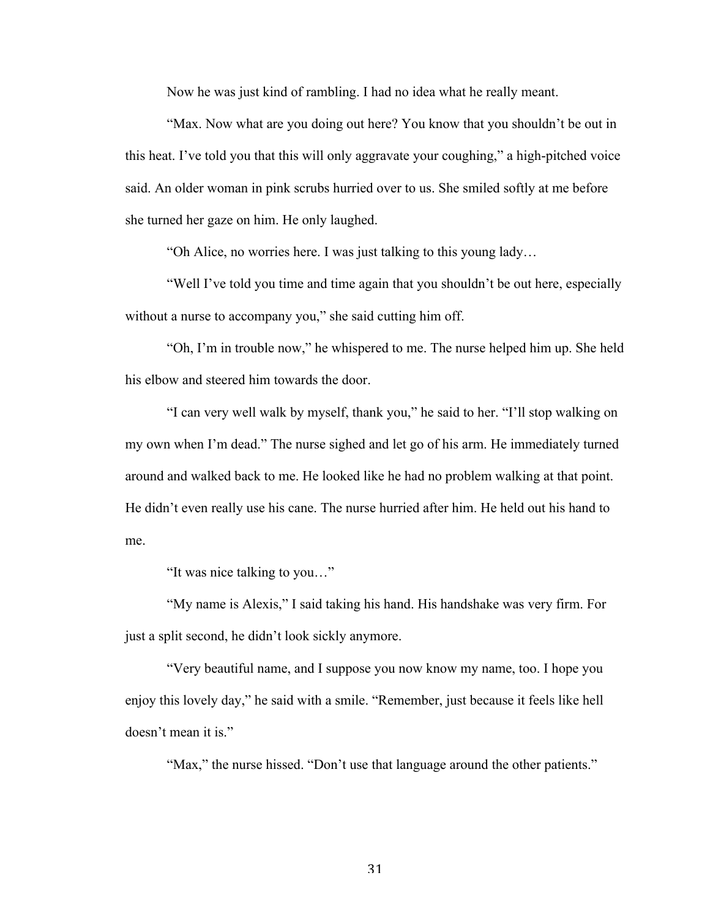Now he was just kind of rambling. I had no idea what he really meant.

"Max. Now what are you doing out here? You know that you shouldn't be out in this heat. I've told you that this will only aggravate your coughing," a high-pitched voice said. An older woman in pink scrubs hurried over to us. She smiled softly at me before she turned her gaze on him. He only laughed.

"Oh Alice, no worries here. I was just talking to this young lady…

"Well I've told you time and time again that you shouldn't be out here, especially without a nurse to accompany you," she said cutting him off.

"Oh, I'm in trouble now," he whispered to me. The nurse helped him up. She held his elbow and steered him towards the door.

"I can very well walk by myself, thank you," he said to her. "I'll stop walking on my own when I'm dead." The nurse sighed and let go of his arm. He immediately turned around and walked back to me. He looked like he had no problem walking at that point. He didn't even really use his cane. The nurse hurried after him. He held out his hand to me.

"It was nice talking to you…"

"My name is Alexis," I said taking his hand. His handshake was very firm. For just a split second, he didn't look sickly anymore.

"Very beautiful name, and I suppose you now know my name, too. I hope you enjoy this lovely day," he said with a smile. "Remember, just because it feels like hell doesn't mean it is."

"Max," the nurse hissed. "Don't use that language around the other patients."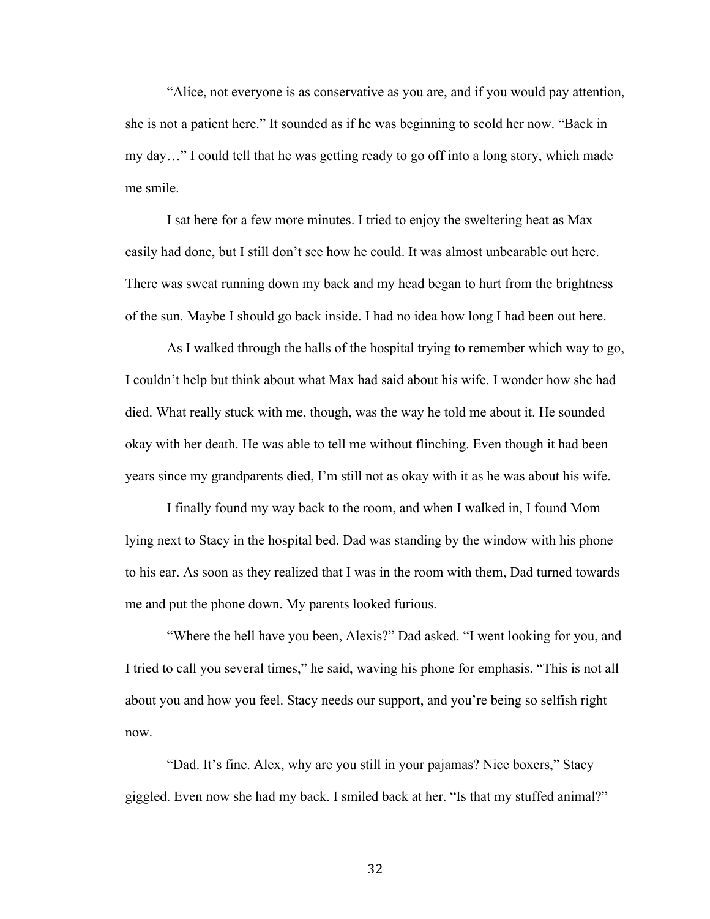"Alice, not everyone is as conservative as you are, and if you would pay attention, she is not a patient here." It sounded as if he was beginning to scold her now. "Back in my day…" I could tell that he was getting ready to go off into a long story, which made me smile.

I sat here for a few more minutes. I tried to enjoy the sweltering heat as Max easily had done, but I still don't see how he could. It was almost unbearable out here. There was sweat running down my back and my head began to hurt from the brightness of the sun. Maybe I should go back inside. I had no idea how long I had been out here.

As I walked through the halls of the hospital trying to remember which way to go, I couldn't help but think about what Max had said about his wife. I wonder how she had died. What really stuck with me, though, was the way he told me about it. He sounded okay with her death. He was able to tell me without flinching. Even though it had been years since my grandparents died, I'm still not as okay with it as he was about his wife.

I finally found my way back to the room, and when I walked in, I found Mom lying next to Stacy in the hospital bed. Dad was standing by the window with his phone to his ear. As soon as they realized that I was in the room with them, Dad turned towards me and put the phone down. My parents looked furious.

"Where the hell have you been, Alexis?" Dad asked. "I went looking for you, and I tried to call you several times," he said, waving his phone for emphasis. "This is not all about you and how you feel. Stacy needs our support, and you're being so selfish right now.

"Dad. It's fine. Alex, why are you still in your pajamas? Nice boxers," Stacy giggled. Even now she had my back. I smiled back at her. "Is that my stuffed animal?"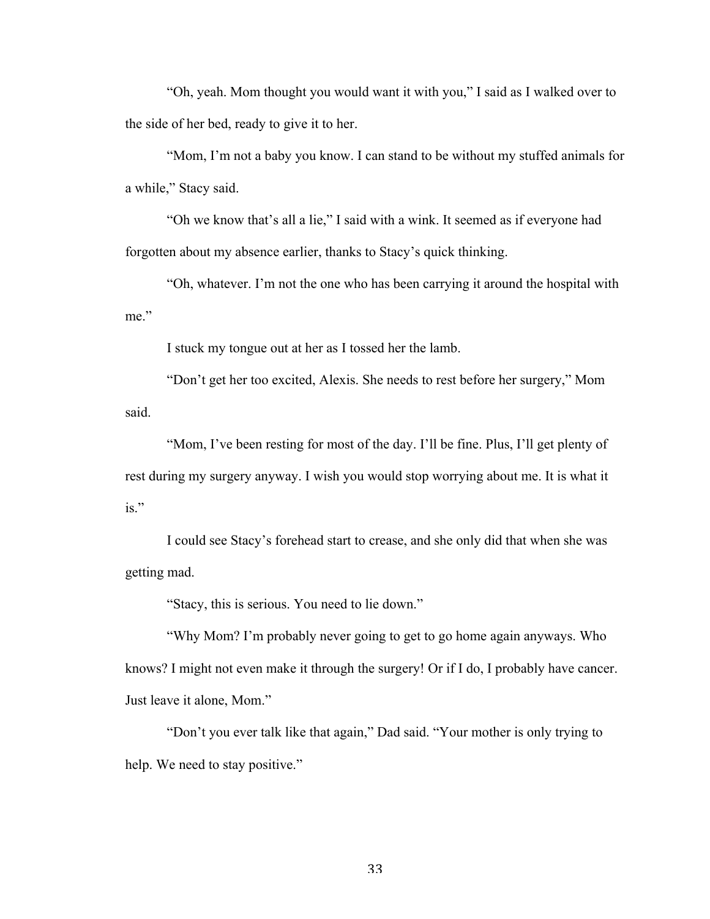"Oh, yeah. Mom thought you would want it with you," I said as I walked over to the side of her bed, ready to give it to her.

"Mom, I'm not a baby you know. I can stand to be without my stuffed animals for a while," Stacy said.

"Oh we know that's all a lie," I said with a wink. It seemed as if everyone had forgotten about my absence earlier, thanks to Stacy's quick thinking.

"Oh, whatever. I'm not the one who has been carrying it around the hospital with me"

I stuck my tongue out at her as I tossed her the lamb.

"Don't get her too excited, Alexis. She needs to rest before her surgery," Mom said.

"Mom, I've been resting for most of the day. I'll be fine. Plus, I'll get plenty of rest during my surgery anyway. I wish you would stop worrying about me. It is what it is."

I could see Stacy's forehead start to crease, and she only did that when she was getting mad.

"Stacy, this is serious. You need to lie down."

"Why Mom? I'm probably never going to get to go home again anyways. Who knows? I might not even make it through the surgery! Or if I do, I probably have cancer. Just leave it alone, Mom."

"Don't you ever talk like that again," Dad said. "Your mother is only trying to help. We need to stay positive."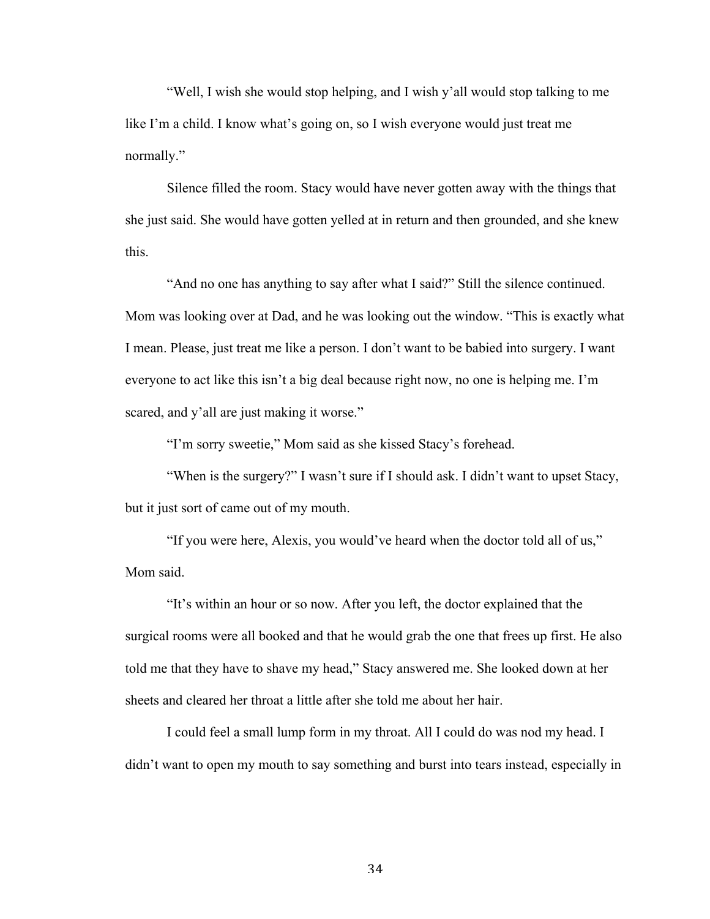"Well, I wish she would stop helping, and I wish y'all would stop talking to me like I'm a child. I know what's going on, so I wish everyone would just treat me normally."

Silence filled the room. Stacy would have never gotten away with the things that she just said. She would have gotten yelled at in return and then grounded, and she knew this.

"And no one has anything to say after what I said?" Still the silence continued. Mom was looking over at Dad, and he was looking out the window. "This is exactly what I mean. Please, just treat me like a person. I don't want to be babied into surgery. I want everyone to act like this isn't a big deal because right now, no one is helping me. I'm scared, and y'all are just making it worse."

"I'm sorry sweetie," Mom said as she kissed Stacy's forehead.

"When is the surgery?" I wasn't sure if I should ask. I didn't want to upset Stacy, but it just sort of came out of my mouth.

"If you were here, Alexis, you would've heard when the doctor told all of us," Mom said.

"It's within an hour or so now. After you left, the doctor explained that the surgical rooms were all booked and that he would grab the one that frees up first. He also told me that they have to shave my head," Stacy answered me. She looked down at her sheets and cleared her throat a little after she told me about her hair.

I could feel a small lump form in my throat. All I could do was nod my head. I didn't want to open my mouth to say something and burst into tears instead, especially in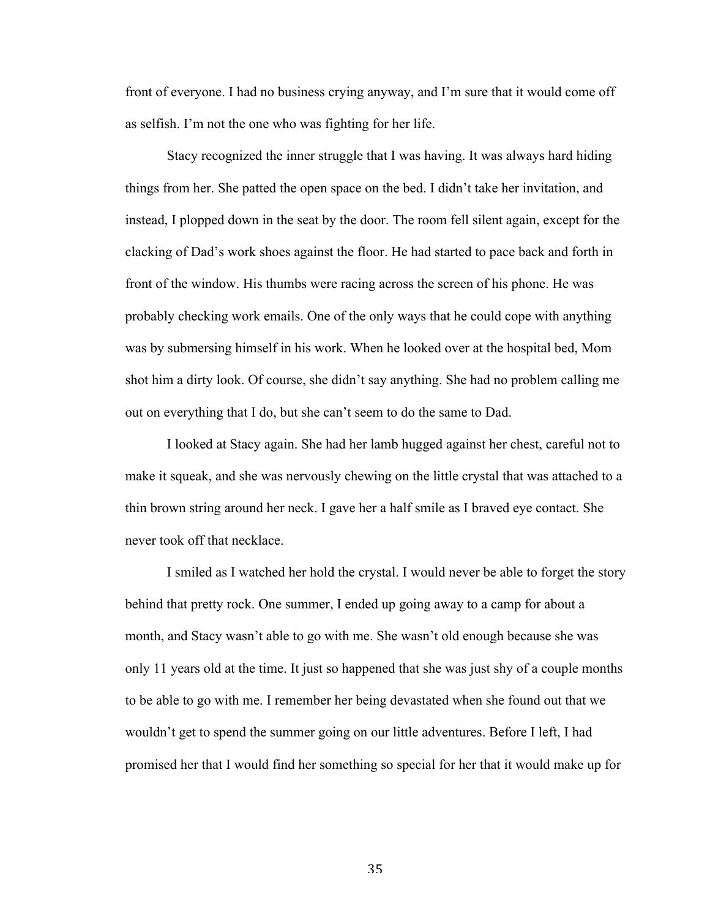front of everyone. I had no business crying anyway, and I'm sure that it would come off as selfish. I'm not the one who was fighting for her life.

Stacy recognized the inner struggle that I was having. It was always hard hiding things from her. She patted the open space on the bed. I didn't take her invitation, and instead, I plopped down in the seat by the door. The room fell silent again, except for the clacking of Dad's work shoes against the floor. He had started to pace back and forth in front of the window. His thumbs were racing across the screen of his phone. He was probably checking work emails. One of the only ways that he could cope with anything was by submersing himself in his work. When he looked over at the hospital bed, Mom shot him a dirty look. Of course, she didn't say anything. She had no problem calling me out on everything that I do, but she can't seem to do the same to Dad.

I looked at Stacy again. She had her lamb hugged against her chest, careful not to make it squeak, and she was nervously chewing on the little crystal that was attached to a thin brown string around her neck. I gave her a half smile as I braved eye contact. She never took off that necklace.

I smiled as I watched her hold the crystal. I would never be able to forget the story behind that pretty rock. One summer, I ended up going away to a camp for about a month, and Stacy wasn't able to go with me. She wasn't old enough because she was only 11 years old at the time. It just so happened that she was just shy of a couple months to be able to go with me. I remember her being devastated when she found out that we wouldn't get to spend the summer going on our little adventures. Before I left, I had promised her that I would find her something so special for her that it would make up for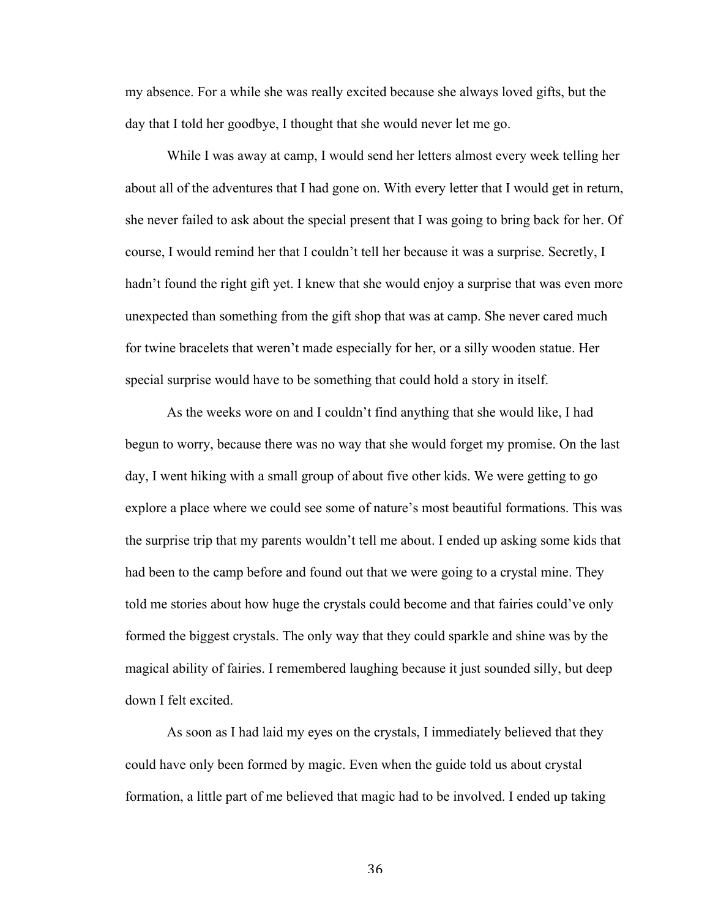my absence. For a while she was really excited because she always loved gifts, but the day that I told her goodbye, I thought that she would never let me go.

While I was away at camp, I would send her letters almost every week telling her about all of the adventures that I had gone on. With every letter that I would get in return, she never failed to ask about the special present that I was going to bring back for her. Of course, I would remind her that I couldn't tell her because it was a surprise. Secretly, I hadn't found the right gift yet. I knew that she would enjoy a surprise that was even more unexpected than something from the gift shop that was at camp. She never cared much for twine bracelets that weren't made especially for her, or a silly wooden statue. Her special surprise would have to be something that could hold a story in itself.

As the weeks wore on and I couldn't find anything that she would like, I had begun to worry, because there was no way that she would forget my promise. On the last day, I went hiking with a small group of about five other kids. We were getting to go explore a place where we could see some of nature's most beautiful formations. This was the surprise trip that my parents wouldn't tell me about. I ended up asking some kids that had been to the camp before and found out that we were going to a crystal mine. They told me stories about how huge the crystals could become and that fairies could've only formed the biggest crystals. The only way that they could sparkle and shine was by the magical ability of fairies. I remembered laughing because it just sounded silly, but deep down I felt excited.

As soon as I had laid my eyes on the crystals, I immediately believed that they could have only been formed by magic. Even when the guide told us about crystal formation, a little part of me believed that magic had to be involved. I ended up taking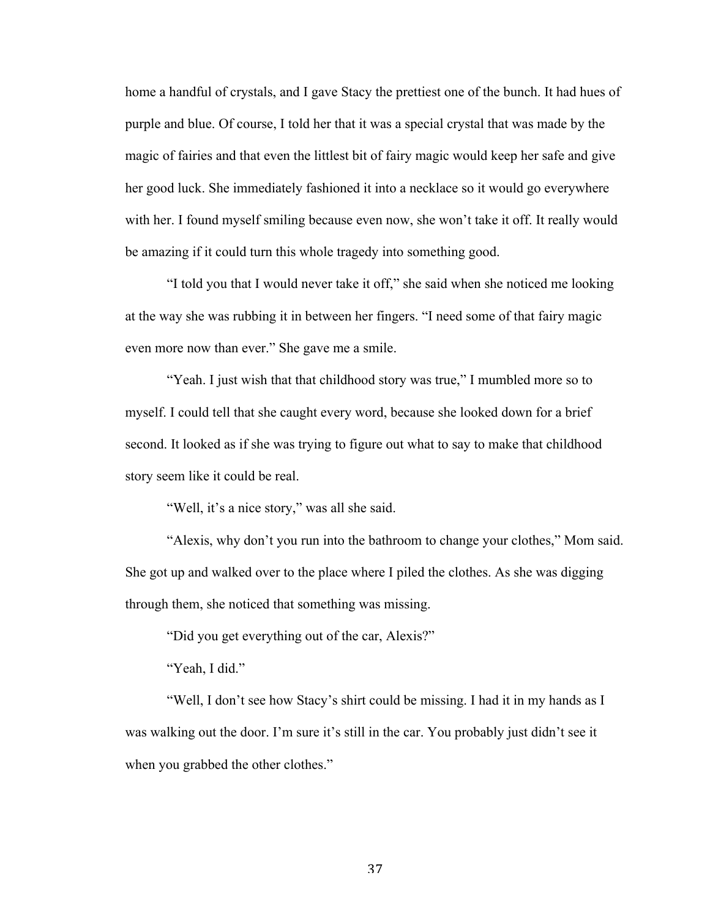home a handful of crystals, and I gave Stacy the prettiest one of the bunch. It had hues of purple and blue. Of course, I told her that it was a special crystal that was made by the magic of fairies and that even the littlest bit of fairy magic would keep her safe and give her good luck. She immediately fashioned it into a necklace so it would go everywhere with her. I found myself smiling because even now, she won't take it off. It really would be amazing if it could turn this whole tragedy into something good.

"I told you that I would never take it off," she said when she noticed me looking at the way she was rubbing it in between her fingers. "I need some of that fairy magic even more now than ever." She gave me a smile.

"Yeah. I just wish that that childhood story was true," I mumbled more so to myself. I could tell that she caught every word, because she looked down for a brief second. It looked as if she was trying to figure out what to say to make that childhood story seem like it could be real.

"Well, it's a nice story," was all she said.

"Alexis, why don't you run into the bathroom to change your clothes," Mom said. She got up and walked over to the place where I piled the clothes. As she was digging through them, she noticed that something was missing.

"Did you get everything out of the car, Alexis?"

"Yeah, I did."

"Well, I don't see how Stacy's shirt could be missing. I had it in my hands as I was walking out the door. I'm sure it's still in the car. You probably just didn't see it when you grabbed the other clothes."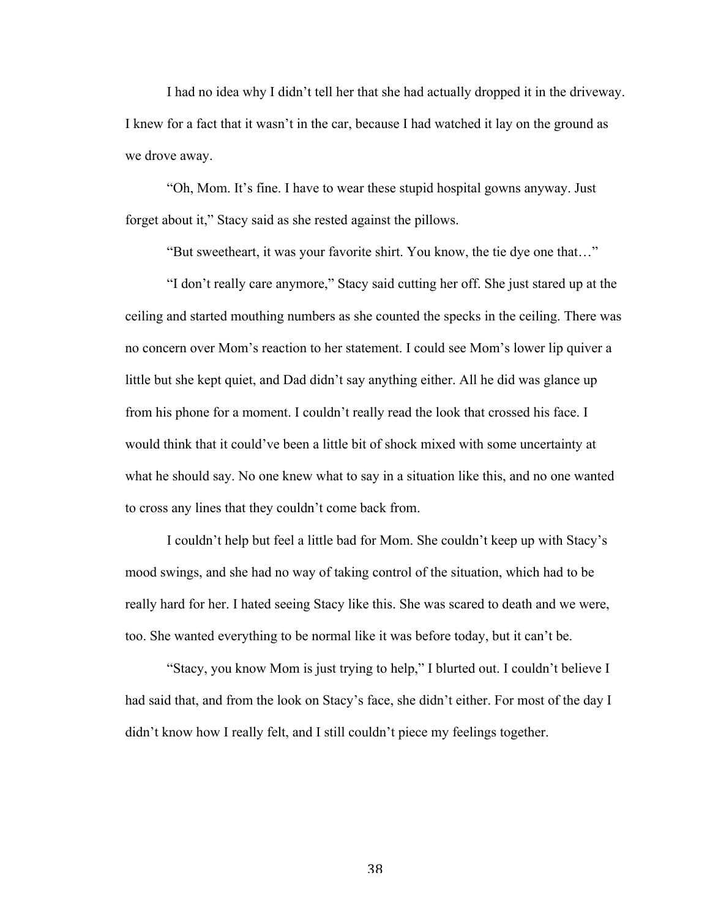I had no idea why I didn't tell her that she had actually dropped it in the driveway. I knew for a fact that it wasn't in the car, because I had watched it lay on the ground as we drove away.

"Oh, Mom. It's fine. I have to wear these stupid hospital gowns anyway. Just forget about it," Stacy said as she rested against the pillows.

"But sweetheart, it was your favorite shirt. You know, the tie dye one that…"

"I don't really care anymore," Stacy said cutting her off. She just stared up at the ceiling and started mouthing numbers as she counted the specks in the ceiling. There was no concern over Mom's reaction to her statement. I could see Mom's lower lip quiver a little but she kept quiet, and Dad didn't say anything either. All he did was glance up from his phone for a moment. I couldn't really read the look that crossed his face. I would think that it could've been a little bit of shock mixed with some uncertainty at what he should say. No one knew what to say in a situation like this, and no one wanted to cross any lines that they couldn't come back from.

I couldn't help but feel a little bad for Mom. She couldn't keep up with Stacy's mood swings, and she had no way of taking control of the situation, which had to be really hard for her. I hated seeing Stacy like this. She was scared to death and we were, too. She wanted everything to be normal like it was before today, but it can't be.

"Stacy, you know Mom is just trying to help," I blurted out. I couldn't believe I had said that, and from the look on Stacy's face, she didn't either. For most of the day I didn't know how I really felt, and I still couldn't piece my feelings together.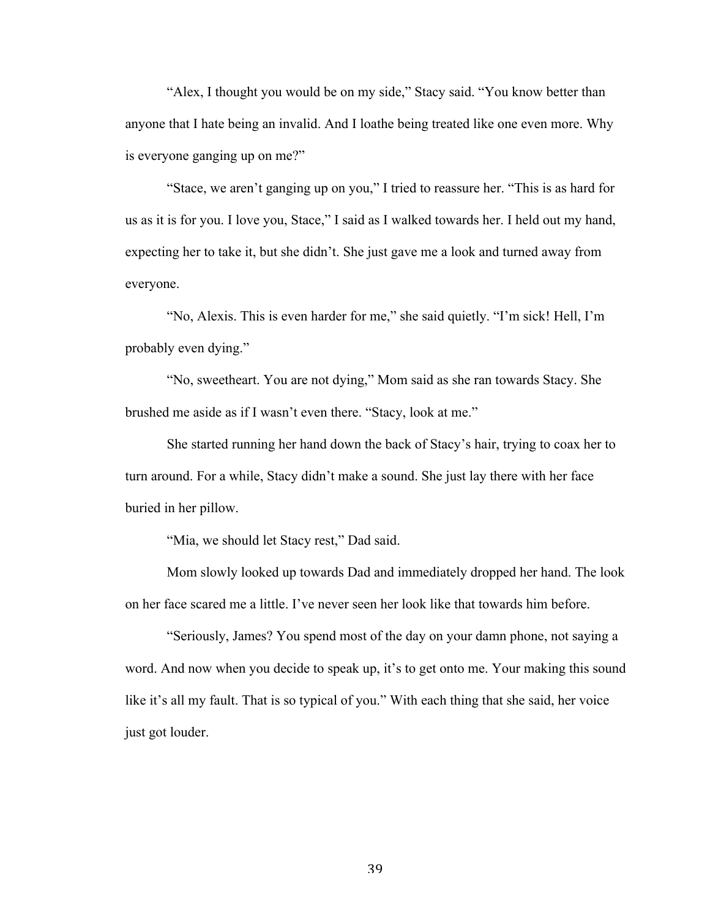"Alex, I thought you would be on my side," Stacy said. "You know better than anyone that I hate being an invalid. And I loathe being treated like one even more. Why is everyone ganging up on me?"

"Stace, we aren't ganging up on you," I tried to reassure her. "This is as hard for us as it is for you. I love you, Stace," I said as I walked towards her. I held out my hand, expecting her to take it, but she didn't. She just gave me a look and turned away from everyone.

"No, Alexis. This is even harder for me," she said quietly. "I'm sick! Hell, I'm probably even dying."

"No, sweetheart. You are not dying," Mom said as she ran towards Stacy. She brushed me aside as if I wasn't even there. "Stacy, look at me."

She started running her hand down the back of Stacy's hair, trying to coax her to turn around. For a while, Stacy didn't make a sound. She just lay there with her face buried in her pillow.

"Mia, we should let Stacy rest," Dad said.

Mom slowly looked up towards Dad and immediately dropped her hand. The look on her face scared me a little. I've never seen her look like that towards him before.

"Seriously, James? You spend most of the day on your damn phone, not saying a word. And now when you decide to speak up, it's to get onto me. Your making this sound like it's all my fault. That is so typical of you." With each thing that she said, her voice just got louder.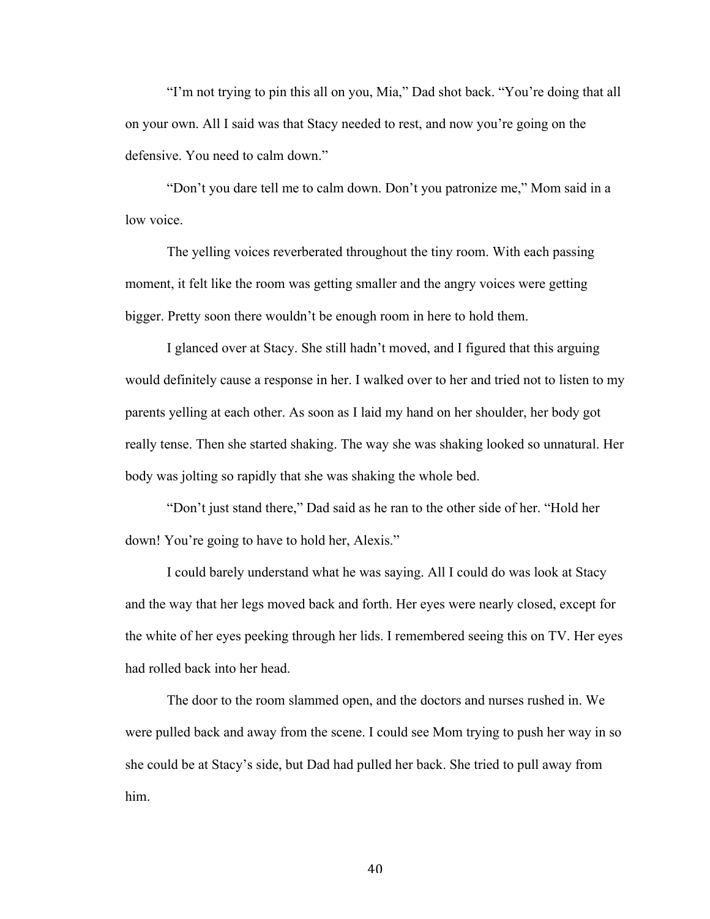"I'm not trying to pin this all on you, Mia," Dad shot back. "You're doing that all on your own. All I said was that Stacy needed to rest, and now you're going on the defensive. You need to calm down."

"Don't you dare tell me to calm down. Don't you patronize me," Mom said in a low voice.

The yelling voices reverberated throughout the tiny room. With each passing moment, it felt like the room was getting smaller and the angry voices were getting bigger. Pretty soon there wouldn't be enough room in here to hold them.

I glanced over at Stacy. She still hadn't moved, and I figured that this arguing would definitely cause a response in her. I walked over to her and tried not to listen to my parents yelling at each other. As soon as I laid my hand on her shoulder, her body got really tense. Then she started shaking. The way she was shaking looked so unnatural. Her body was jolting so rapidly that she was shaking the whole bed.

"Don't just stand there," Dad said as he ran to the other side of her. "Hold her down! You're going to have to hold her, Alexis."

I could barely understand what he was saying. All I could do was look at Stacy and the way that her legs moved back and forth. Her eyes were nearly closed, except for the white of her eyes peeking through her lids. I remembered seeing this on TV. Her eyes had rolled back into her head.

The door to the room slammed open, and the doctors and nurses rushed in. We were pulled back and away from the scene. I could see Mom trying to push her way in so she could be at Stacy's side, but Dad had pulled her back. She tried to pull away from him.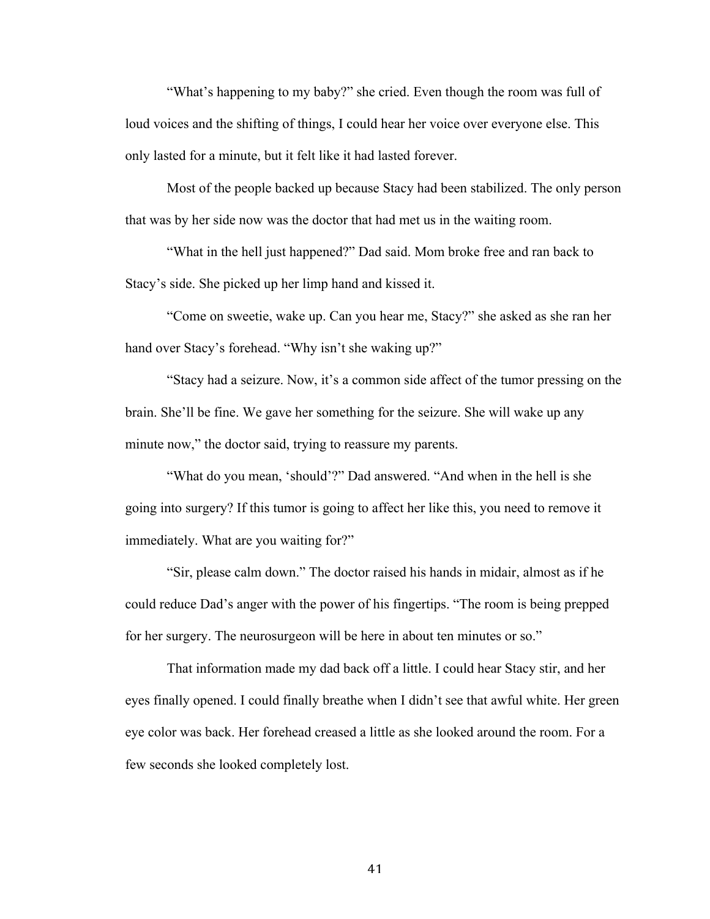"What's happening to my baby?" she cried. Even though the room was full of loud voices and the shifting of things, I could hear her voice over everyone else. This only lasted for a minute, but it felt like it had lasted forever.

Most of the people backed up because Stacy had been stabilized. The only person that was by her side now was the doctor that had met us in the waiting room.

"What in the hell just happened?" Dad said. Mom broke free and ran back to Stacy's side. She picked up her limp hand and kissed it.

"Come on sweetie, wake up. Can you hear me, Stacy?" she asked as she ran her hand over Stacy's forehead. "Why isn't she waking up?"

"Stacy had a seizure. Now, it's a common side affect of the tumor pressing on the brain. She'll be fine. We gave her something for the seizure. She will wake up any minute now," the doctor said, trying to reassure my parents.

"What do you mean, 'should'?" Dad answered. "And when in the hell is she going into surgery? If this tumor is going to affect her like this, you need to remove it immediately. What are you waiting for?"

"Sir, please calm down." The doctor raised his hands in midair, almost as if he could reduce Dad's anger with the power of his fingertips. "The room is being prepped for her surgery. The neurosurgeon will be here in about ten minutes or so."

That information made my dad back off a little. I could hear Stacy stir, and her eyes finally opened. I could finally breathe when I didn't see that awful white. Her green eye color was back. Her forehead creased a little as she looked around the room. For a few seconds she looked completely lost.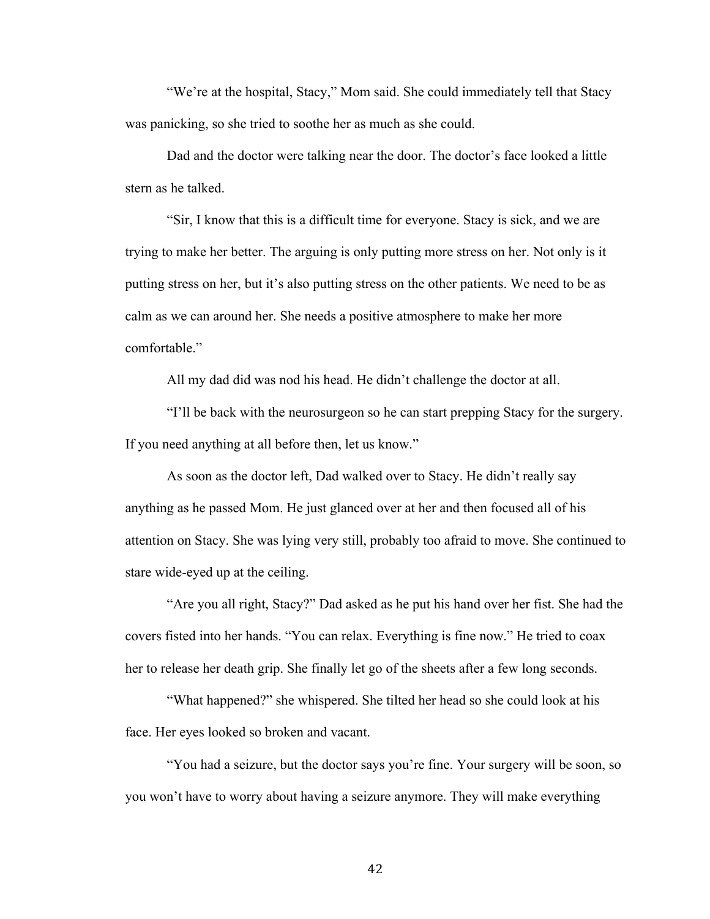"We're at the hospital, Stacy," Mom said. She could immediately tell that Stacy was panicking, so she tried to soothe her as much as she could.

Dad and the doctor were talking near the door. The doctor's face looked a little stern as he talked.

"Sir, I know that this is a difficult time for everyone. Stacy is sick, and we are trying to make her better. The arguing is only putting more stress on her. Not only is it putting stress on her, but it's also putting stress on the other patients. We need to be as calm as we can around her. She needs a positive atmosphere to make her more comfortable."

All my dad did was nod his head. He didn't challenge the doctor at all.

"I'll be back with the neurosurgeon so he can start prepping Stacy for the surgery. If you need anything at all before then, let us know."

As soon as the doctor left, Dad walked over to Stacy. He didn't really say anything as he passed Mom. He just glanced over at her and then focused all of his attention on Stacy. She was lying very still, probably too afraid to move. She continued to stare wide-eyed up at the ceiling.

"Are you all right, Stacy?" Dad asked as he put his hand over her fist. She had the covers fisted into her hands. "You can relax. Everything is fine now." He tried to coax her to release her death grip. She finally let go of the sheets after a few long seconds.

"What happened?" she whispered. She tilted her head so she could look at his face. Her eyes looked so broken and vacant.

"You had a seizure, but the doctor says you're fine. Your surgery will be soon, so you won't have to worry about having a seizure anymore. They will make everything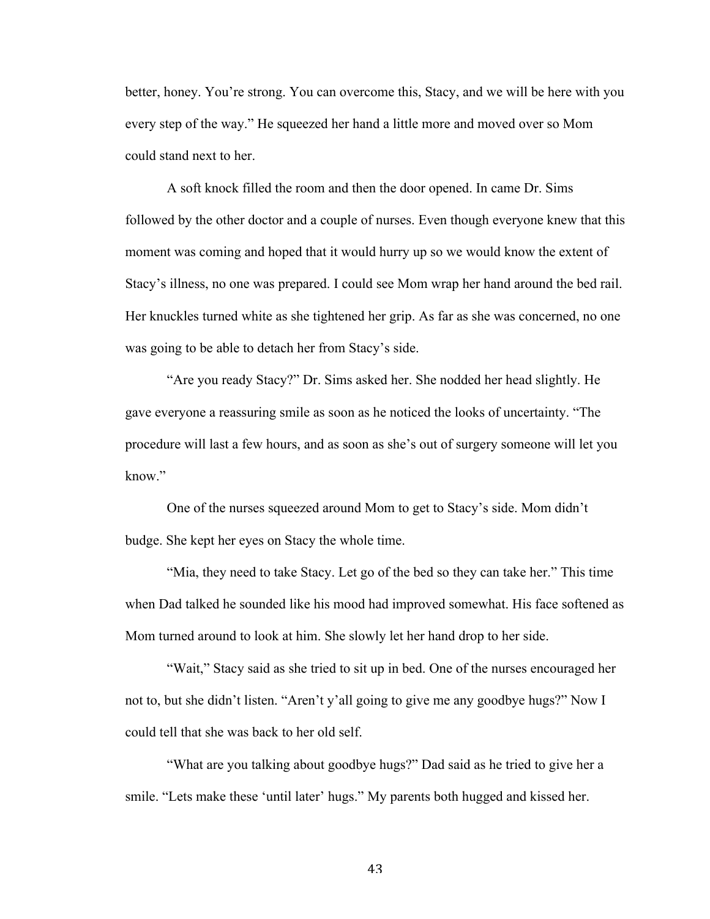better, honey. You're strong. You can overcome this, Stacy, and we will be here with you every step of the way." He squeezed her hand a little more and moved over so Mom could stand next to her.

A soft knock filled the room and then the door opened. In came Dr. Sims followed by the other doctor and a couple of nurses. Even though everyone knew that this moment was coming and hoped that it would hurry up so we would know the extent of Stacy's illness, no one was prepared. I could see Mom wrap her hand around the bed rail. Her knuckles turned white as she tightened her grip. As far as she was concerned, no one was going to be able to detach her from Stacy's side.

"Are you ready Stacy?" Dr. Sims asked her. She nodded her head slightly. He gave everyone a reassuring smile as soon as he noticed the looks of uncertainty. "The procedure will last a few hours, and as soon as she's out of surgery someone will let you know"

One of the nurses squeezed around Mom to get to Stacy's side. Mom didn't budge. She kept her eyes on Stacy the whole time.

"Mia, they need to take Stacy. Let go of the bed so they can take her." This time when Dad talked he sounded like his mood had improved somewhat. His face softened as Mom turned around to look at him. She slowly let her hand drop to her side.

"Wait," Stacy said as she tried to sit up in bed. One of the nurses encouraged her not to, but she didn't listen. "Aren't y'all going to give me any goodbye hugs?" Now I could tell that she was back to her old self.

"What are you talking about goodbye hugs?" Dad said as he tried to give her a smile. "Lets make these 'until later' hugs." My parents both hugged and kissed her.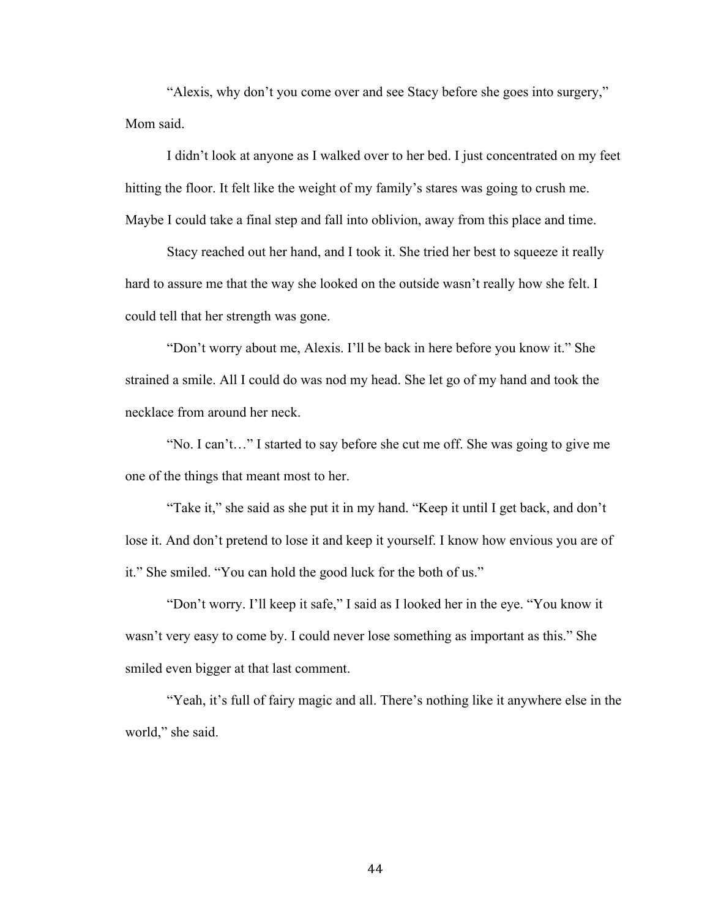"Alexis, why don't you come over and see Stacy before she goes into surgery," Mom said.

I didn't look at anyone as I walked over to her bed. I just concentrated on my feet hitting the floor. It felt like the weight of my family's stares was going to crush me. Maybe I could take a final step and fall into oblivion, away from this place and time.

Stacy reached out her hand, and I took it. She tried her best to squeeze it really hard to assure me that the way she looked on the outside wasn't really how she felt. I could tell that her strength was gone.

"Don't worry about me, Alexis. I'll be back in here before you know it." She strained a smile. All I could do was nod my head. She let go of my hand and took the necklace from around her neck.

"No. I can't…" I started to say before she cut me off. She was going to give me one of the things that meant most to her.

"Take it," she said as she put it in my hand. "Keep it until I get back, and don't lose it. And don't pretend to lose it and keep it yourself. I know how envious you are of it." She smiled. "You can hold the good luck for the both of us."

"Don't worry. I'll keep it safe," I said as I looked her in the eye. "You know it wasn't very easy to come by. I could never lose something as important as this." She smiled even bigger at that last comment.

"Yeah, it's full of fairy magic and all. There's nothing like it anywhere else in the world," she said.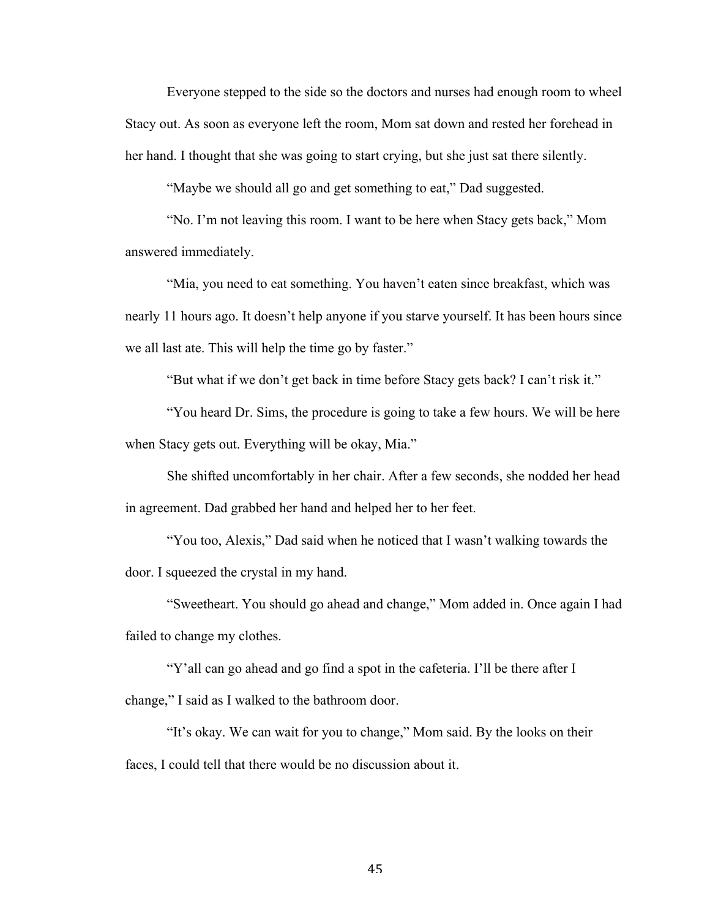Everyone stepped to the side so the doctors and nurses had enough room to wheel Stacy out. As soon as everyone left the room, Mom sat down and rested her forehead in her hand. I thought that she was going to start crying, but she just sat there silently.

"Maybe we should all go and get something to eat," Dad suggested.

"No. I'm not leaving this room. I want to be here when Stacy gets back," Mom answered immediately.

"Mia, you need to eat something. You haven't eaten since breakfast, which was nearly 11 hours ago. It doesn't help anyone if you starve yourself. It has been hours since we all last ate. This will help the time go by faster."

"But what if we don't get back in time before Stacy gets back? I can't risk it."

"You heard Dr. Sims, the procedure is going to take a few hours. We will be here when Stacy gets out. Everything will be okay, Mia."

She shifted uncomfortably in her chair. After a few seconds, she nodded her head in agreement. Dad grabbed her hand and helped her to her feet.

"You too, Alexis," Dad said when he noticed that I wasn't walking towards the door. I squeezed the crystal in my hand.

"Sweetheart. You should go ahead and change," Mom added in. Once again I had failed to change my clothes.

"Y'all can go ahead and go find a spot in the cafeteria. I'll be there after I change," I said as I walked to the bathroom door.

"It's okay. We can wait for you to change," Mom said. By the looks on their faces, I could tell that there would be no discussion about it.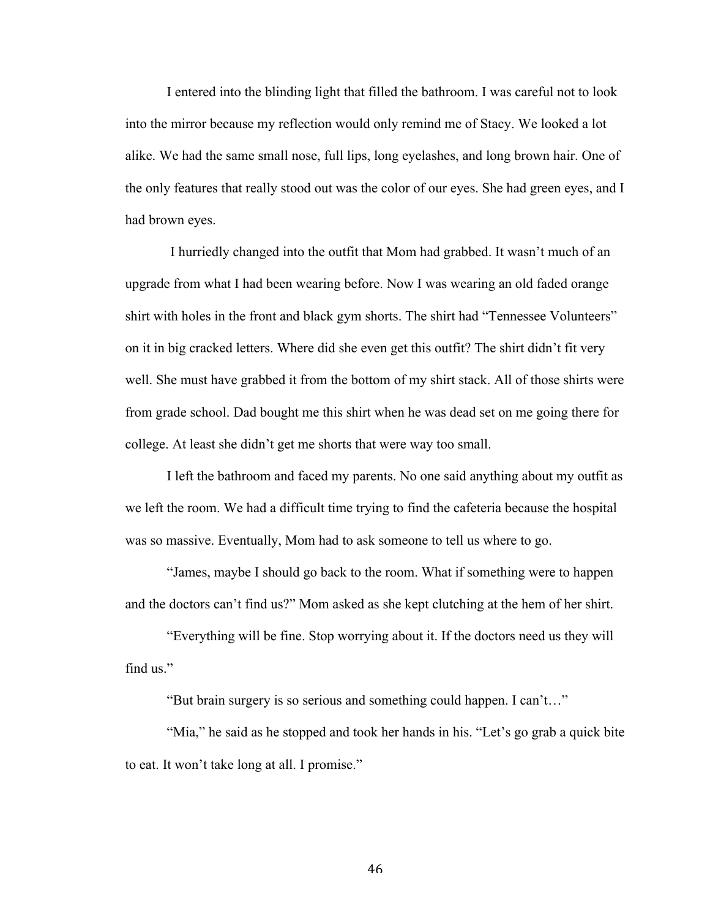I entered into the blinding light that filled the bathroom. I was careful not to look into the mirror because my reflection would only remind me of Stacy. We looked a lot alike. We had the same small nose, full lips, long eyelashes, and long brown hair. One of the only features that really stood out was the color of our eyes. She had green eyes, and I had brown eyes.

I hurriedly changed into the outfit that Mom had grabbed. It wasn't much of an upgrade from what I had been wearing before. Now I was wearing an old faded orange shirt with holes in the front and black gym shorts. The shirt had "Tennessee Volunteers" on it in big cracked letters. Where did she even get this outfit? The shirt didn't fit very well. She must have grabbed it from the bottom of my shirt stack. All of those shirts were from grade school. Dad bought me this shirt when he was dead set on me going there for college. At least she didn't get me shorts that were way too small.

I left the bathroom and faced my parents. No one said anything about my outfit as we left the room. We had a difficult time trying to find the cafeteria because the hospital was so massive. Eventually, Mom had to ask someone to tell us where to go.

"James, maybe I should go back to the room. What if something were to happen and the doctors can't find us?" Mom asked as she kept clutching at the hem of her shirt.

"Everything will be fine. Stop worrying about it. If the doctors need us they will find us."

"But brain surgery is so serious and something could happen. I can't…"

"Mia," he said as he stopped and took her hands in his. "Let's go grab a quick bite to eat. It won't take long at all. I promise."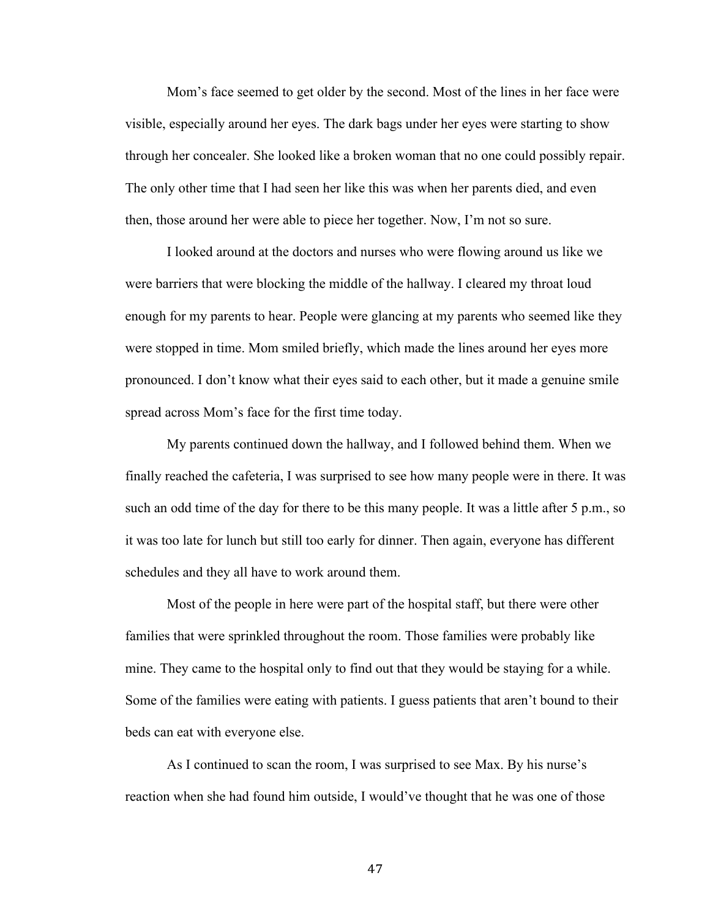Mom's face seemed to get older by the second. Most of the lines in her face were visible, especially around her eyes. The dark bags under her eyes were starting to show through her concealer. She looked like a broken woman that no one could possibly repair. The only other time that I had seen her like this was when her parents died, and even then, those around her were able to piece her together. Now, I'm not so sure.

I looked around at the doctors and nurses who were flowing around us like we were barriers that were blocking the middle of the hallway. I cleared my throat loud enough for my parents to hear. People were glancing at my parents who seemed like they were stopped in time. Mom smiled briefly, which made the lines around her eyes more pronounced. I don't know what their eyes said to each other, but it made a genuine smile spread across Mom's face for the first time today.

My parents continued down the hallway, and I followed behind them. When we finally reached the cafeteria, I was surprised to see how many people were in there. It was such an odd time of the day for there to be this many people. It was a little after 5 p.m., so it was too late for lunch but still too early for dinner. Then again, everyone has different schedules and they all have to work around them.

Most of the people in here were part of the hospital staff, but there were other families that were sprinkled throughout the room. Those families were probably like mine. They came to the hospital only to find out that they would be staying for a while. Some of the families were eating with patients. I guess patients that aren't bound to their beds can eat with everyone else.

As I continued to scan the room, I was surprised to see Max. By his nurse's reaction when she had found him outside, I would've thought that he was one of those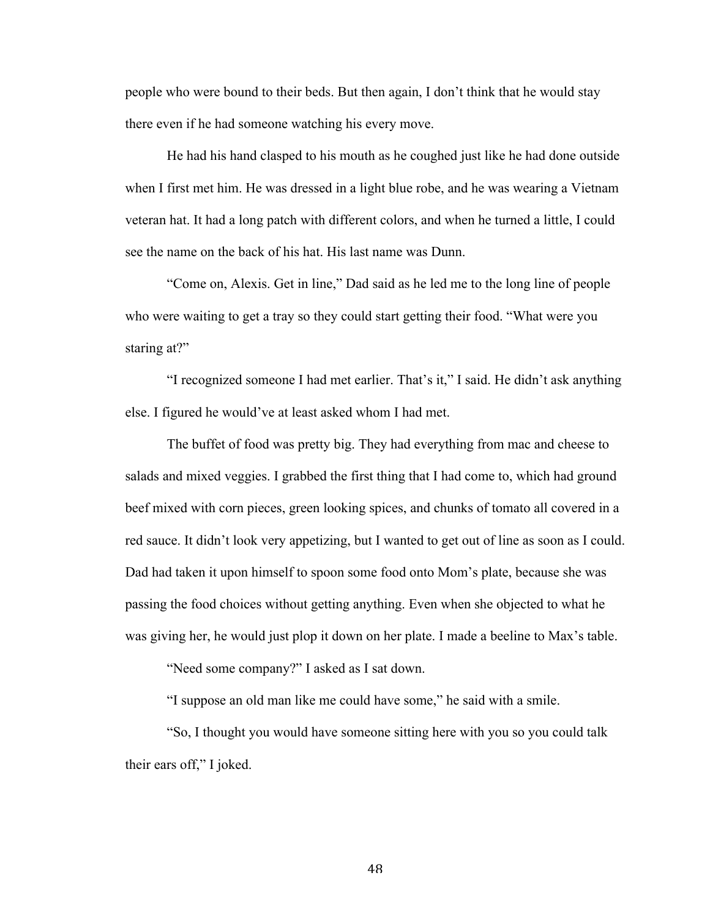people who were bound to their beds. But then again, I don't think that he would stay there even if he had someone watching his every move.

He had his hand clasped to his mouth as he coughed just like he had done outside when I first met him. He was dressed in a light blue robe, and he was wearing a Vietnam veteran hat. It had a long patch with different colors, and when he turned a little, I could see the name on the back of his hat. His last name was Dunn.

"Come on, Alexis. Get in line," Dad said as he led me to the long line of people who were waiting to get a tray so they could start getting their food. "What were you staring at?"

"I recognized someone I had met earlier. That's it," I said. He didn't ask anything else. I figured he would've at least asked whom I had met.

The buffet of food was pretty big. They had everything from mac and cheese to salads and mixed veggies. I grabbed the first thing that I had come to, which had ground beef mixed with corn pieces, green looking spices, and chunks of tomato all covered in a red sauce. It didn't look very appetizing, but I wanted to get out of line as soon as I could. Dad had taken it upon himself to spoon some food onto Mom's plate, because she was passing the food choices without getting anything. Even when she objected to what he was giving her, he would just plop it down on her plate. I made a beeline to Max's table.

"Need some company?" I asked as I sat down.

"I suppose an old man like me could have some," he said with a smile.

"So, I thought you would have someone sitting here with you so you could talk their ears off," I joked.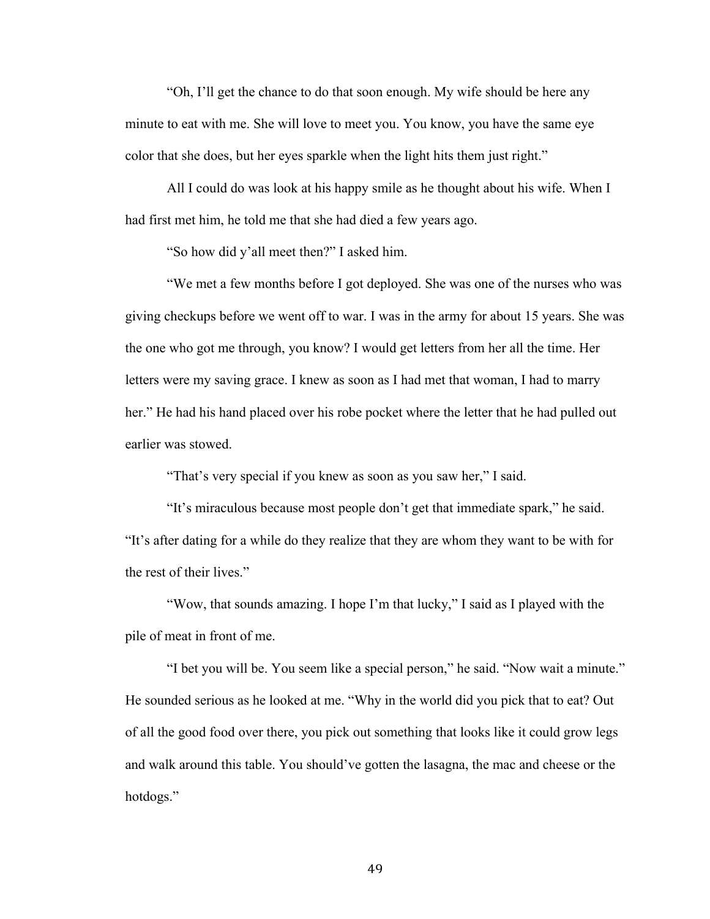"Oh, I'll get the chance to do that soon enough. My wife should be here any minute to eat with me. She will love to meet you. You know, you have the same eye color that she does, but her eyes sparkle when the light hits them just right."

All I could do was look at his happy smile as he thought about his wife. When I had first met him, he told me that she had died a few years ago.

"So how did y'all meet then?" I asked him.

"We met a few months before I got deployed. She was one of the nurses who was giving checkups before we went off to war. I was in the army for about 15 years. She was the one who got me through, you know? I would get letters from her all the time. Her letters were my saving grace. I knew as soon as I had met that woman, I had to marry her." He had his hand placed over his robe pocket where the letter that he had pulled out earlier was stowed.

"That's very special if you knew as soon as you saw her," I said.

"It's miraculous because most people don't get that immediate spark," he said. "It's after dating for a while do they realize that they are whom they want to be with for the rest of their lives."

"Wow, that sounds amazing. I hope I'm that lucky," I said as I played with the pile of meat in front of me.

"I bet you will be. You seem like a special person," he said. "Now wait a minute." He sounded serious as he looked at me. "Why in the world did you pick that to eat? Out of all the good food over there, you pick out something that looks like it could grow legs and walk around this table. You should've gotten the lasagna, the mac and cheese or the hotdogs."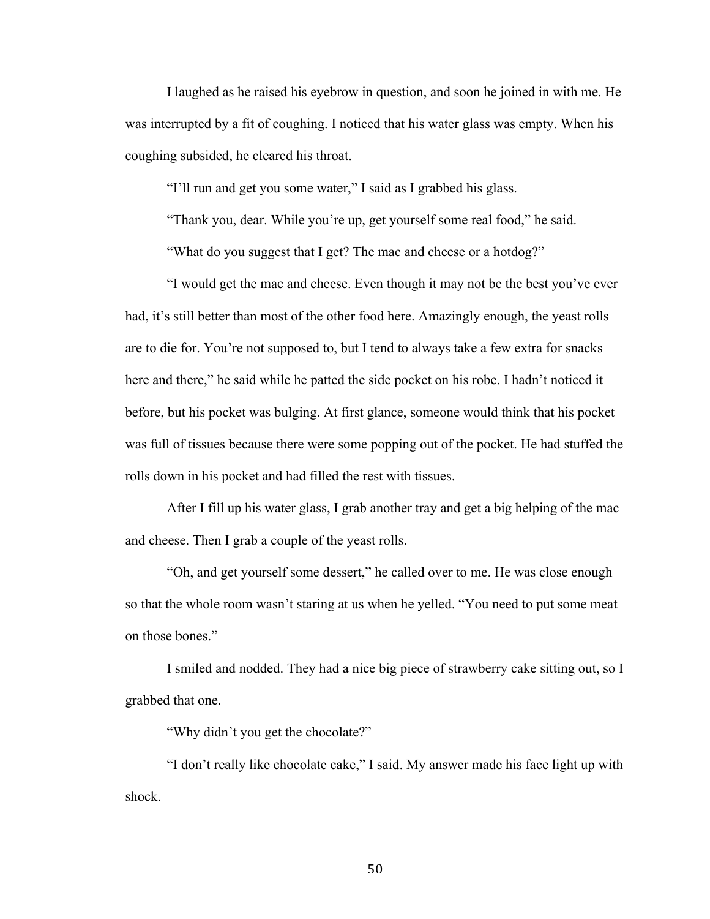I laughed as he raised his eyebrow in question, and soon he joined in with me. He was interrupted by a fit of coughing. I noticed that his water glass was empty. When his coughing subsided, he cleared his throat.

"I'll run and get you some water," I said as I grabbed his glass.

"Thank you, dear. While you're up, get yourself some real food," he said.

"What do you suggest that I get? The mac and cheese or a hotdog?"

"I would get the mac and cheese. Even though it may not be the best you've ever had, it's still better than most of the other food here. Amazingly enough, the yeast rolls are to die for. You're not supposed to, but I tend to always take a few extra for snacks here and there," he said while he patted the side pocket on his robe. I hadn't noticed it before, but his pocket was bulging. At first glance, someone would think that his pocket was full of tissues because there were some popping out of the pocket. He had stuffed the rolls down in his pocket and had filled the rest with tissues.

After I fill up his water glass, I grab another tray and get a big helping of the mac and cheese. Then I grab a couple of the yeast rolls.

"Oh, and get yourself some dessert," he called over to me. He was close enough so that the whole room wasn't staring at us when he yelled. "You need to put some meat on those bones."

I smiled and nodded. They had a nice big piece of strawberry cake sitting out, so I grabbed that one.

"Why didn't you get the chocolate?"

"I don't really like chocolate cake," I said. My answer made his face light up with shock.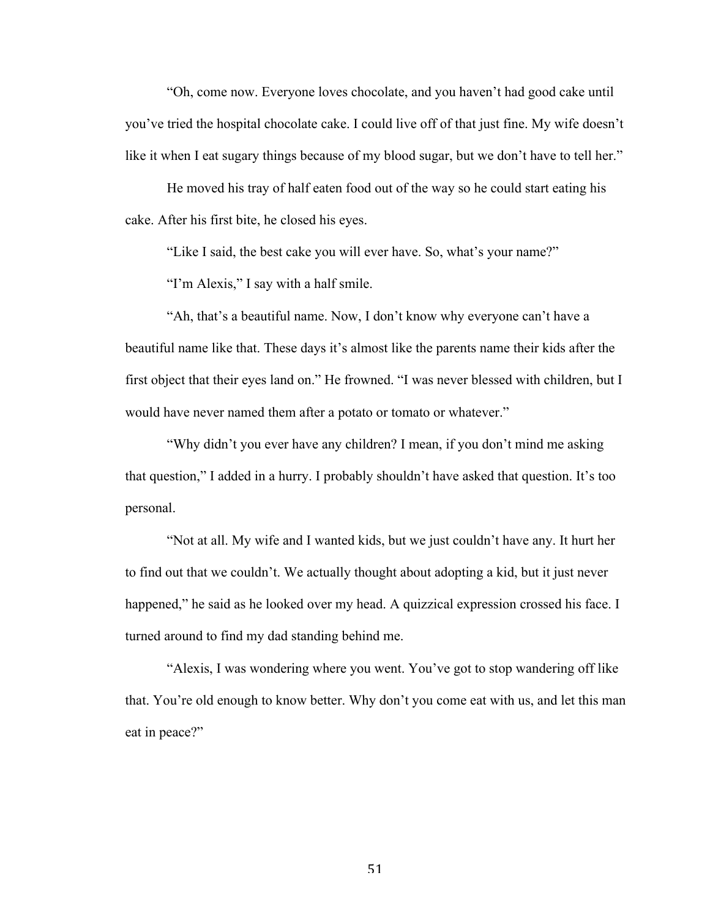"Oh, come now. Everyone loves chocolate, and you haven't had good cake until you've tried the hospital chocolate cake. I could live off of that just fine. My wife doesn't like it when I eat sugary things because of my blood sugar, but we don't have to tell her."

He moved his tray of half eaten food out of the way so he could start eating his cake. After his first bite, he closed his eyes.

"Like I said, the best cake you will ever have. So, what's your name?"

"I'm Alexis," I say with a half smile.

"Ah, that's a beautiful name. Now, I don't know why everyone can't have a beautiful name like that. These days it's almost like the parents name their kids after the first object that their eyes land on." He frowned. "I was never blessed with children, but I would have never named them after a potato or tomato or whatever."

"Why didn't you ever have any children? I mean, if you don't mind me asking that question," I added in a hurry. I probably shouldn't have asked that question. It's too personal.

"Not at all. My wife and I wanted kids, but we just couldn't have any. It hurt her to find out that we couldn't. We actually thought about adopting a kid, but it just never happened," he said as he looked over my head. A quizzical expression crossed his face. I turned around to find my dad standing behind me.

"Alexis, I was wondering where you went. You've got to stop wandering off like that. You're old enough to know better. Why don't you come eat with us, and let this man eat in peace?"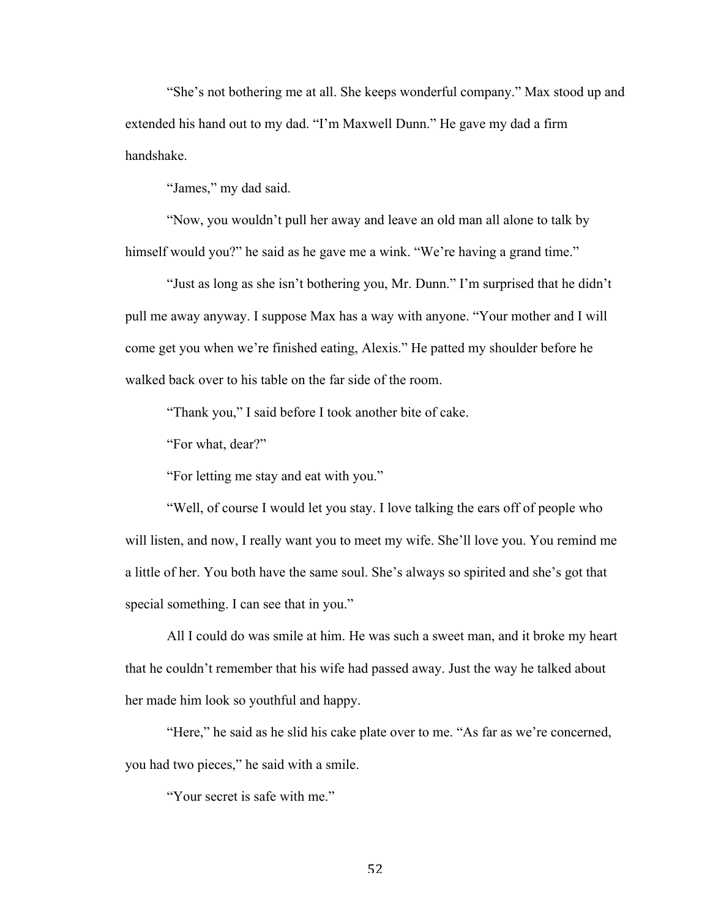"She's not bothering me at all. She keeps wonderful company." Max stood up and extended his hand out to my dad. "I'm Maxwell Dunn." He gave my dad a firm handshake.

"James," my dad said.

"Now, you wouldn't pull her away and leave an old man all alone to talk by himself would you?" he said as he gave me a wink. "We're having a grand time."

"Just as long as she isn't bothering you, Mr. Dunn." I'm surprised that he didn't pull me away anyway. I suppose Max has a way with anyone. "Your mother and I will come get you when we're finished eating, Alexis." He patted my shoulder before he walked back over to his table on the far side of the room.

"Thank you," I said before I took another bite of cake.

"For what, dear?"

"For letting me stay and eat with you."

"Well, of course I would let you stay. I love talking the ears off of people who will listen, and now, I really want you to meet my wife. She'll love you. You remind me a little of her. You both have the same soul. She's always so spirited and she's got that special something. I can see that in you."

All I could do was smile at him. He was such a sweet man, and it broke my heart that he couldn't remember that his wife had passed away. Just the way he talked about her made him look so youthful and happy.

"Here," he said as he slid his cake plate over to me. "As far as we're concerned, you had two pieces," he said with a smile.

"Your secret is safe with me."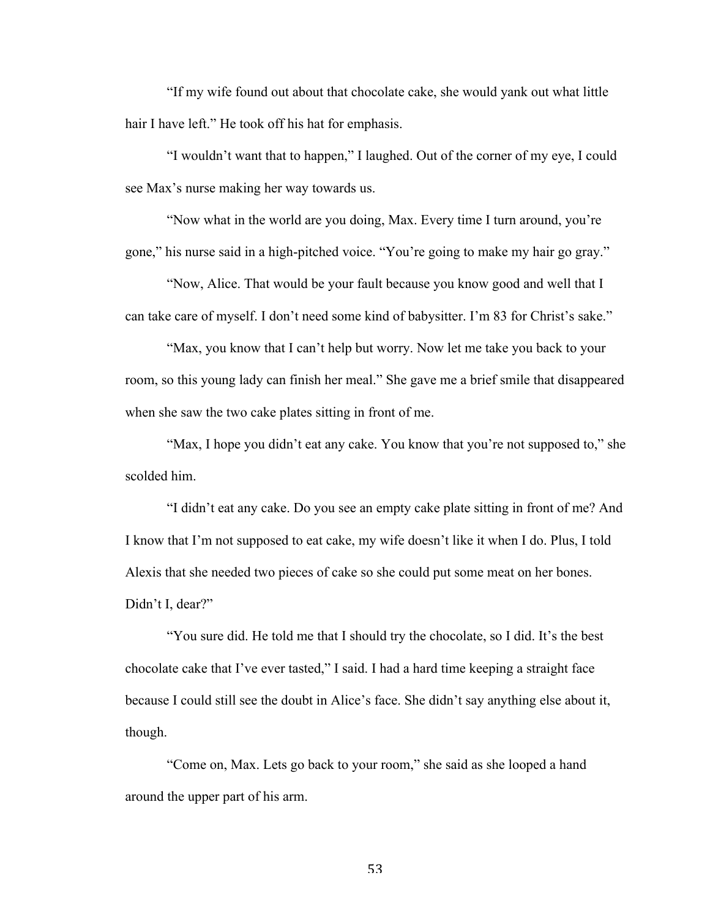"If my wife found out about that chocolate cake, she would yank out what little hair I have left." He took off his hat for emphasis.

"I wouldn't want that to happen," I laughed. Out of the corner of my eye, I could see Max's nurse making her way towards us.

"Now what in the world are you doing, Max. Every time I turn around, you're gone," his nurse said in a high-pitched voice. "You're going to make my hair go gray."

"Now, Alice. That would be your fault because you know good and well that I can take care of myself. I don't need some kind of babysitter. I'm 83 for Christ's sake."

"Max, you know that I can't help but worry. Now let me take you back to your room, so this young lady can finish her meal." She gave me a brief smile that disappeared when she saw the two cake plates sitting in front of me.

"Max, I hope you didn't eat any cake. You know that you're not supposed to," she scolded him.

"I didn't eat any cake. Do you see an empty cake plate sitting in front of me? And I know that I'm not supposed to eat cake, my wife doesn't like it when I do. Plus, I told Alexis that she needed two pieces of cake so she could put some meat on her bones. Didn't I, dear?"

"You sure did. He told me that I should try the chocolate, so I did. It's the best chocolate cake that I've ever tasted," I said. I had a hard time keeping a straight face because I could still see the doubt in Alice's face. She didn't say anything else about it, though.

"Come on, Max. Lets go back to your room," she said as she looped a hand around the upper part of his arm.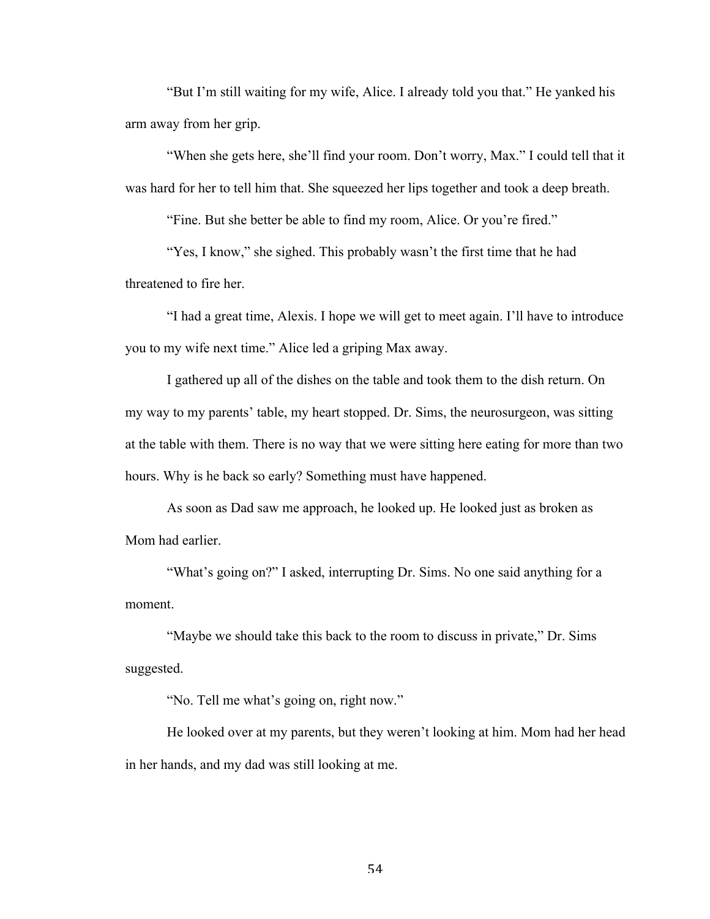"But I'm still waiting for my wife, Alice. I already told you that." He yanked his arm away from her grip.

"When she gets here, she'll find your room. Don't worry, Max." I could tell that it was hard for her to tell him that. She squeezed her lips together and took a deep breath.

"Fine. But she better be able to find my room, Alice. Or you're fired."

"Yes, I know," she sighed. This probably wasn't the first time that he had threatened to fire her.

"I had a great time, Alexis. I hope we will get to meet again. I'll have to introduce you to my wife next time." Alice led a griping Max away.

I gathered up all of the dishes on the table and took them to the dish return. On my way to my parents' table, my heart stopped. Dr. Sims, the neurosurgeon, was sitting at the table with them. There is no way that we were sitting here eating for more than two hours. Why is he back so early? Something must have happened.

As soon as Dad saw me approach, he looked up. He looked just as broken as Mom had earlier.

"What's going on?" I asked, interrupting Dr. Sims. No one said anything for a moment.

"Maybe we should take this back to the room to discuss in private," Dr. Sims suggested.

"No. Tell me what's going on, right now."

He looked over at my parents, but they weren't looking at him. Mom had her head in her hands, and my dad was still looking at me.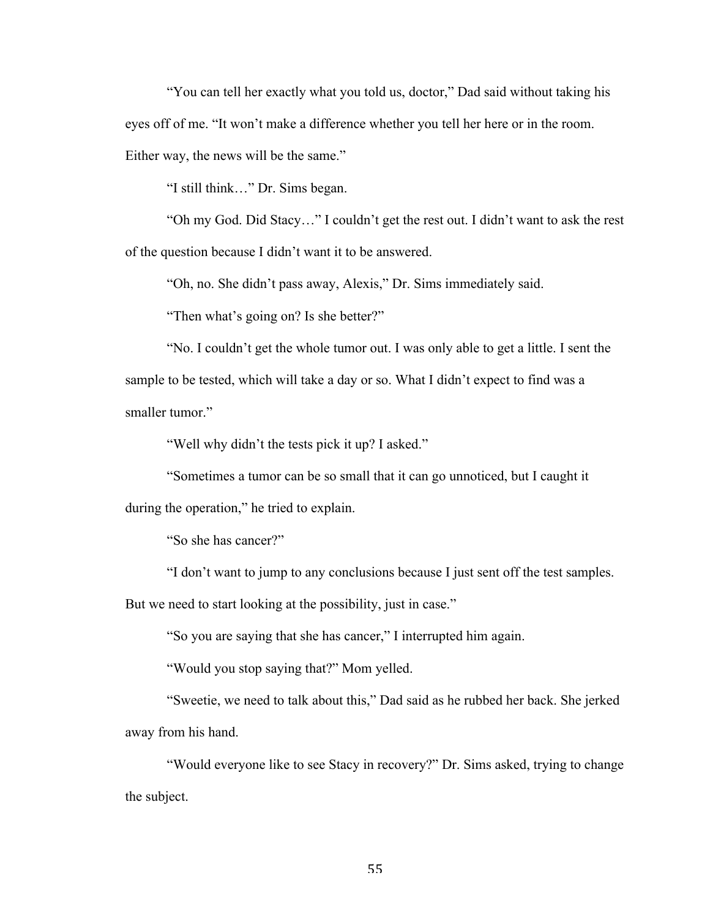"You can tell her exactly what you told us, doctor," Dad said without taking his eyes off of me. "It won't make a difference whether you tell her here or in the room. Either way, the news will be the same."

"I still think…" Dr. Sims began.

"Oh my God. Did Stacy…" I couldn't get the rest out. I didn't want to ask the rest of the question because I didn't want it to be answered.

"Oh, no. She didn't pass away, Alexis," Dr. Sims immediately said.

"Then what's going on? Is she better?"

"No. I couldn't get the whole tumor out. I was only able to get a little. I sent the sample to be tested, which will take a day or so. What I didn't expect to find was a smaller tumor."

"Well why didn't the tests pick it up? I asked."

"Sometimes a tumor can be so small that it can go unnoticed, but I caught it

during the operation," he tried to explain.

"So she has cancer?"

"I don't want to jump to any conclusions because I just sent off the test samples.

But we need to start looking at the possibility, just in case."

"So you are saying that she has cancer," I interrupted him again.

"Would you stop saying that?" Mom yelled.

"Sweetie, we need to talk about this," Dad said as he rubbed her back. She jerked away from his hand.

"Would everyone like to see Stacy in recovery?" Dr. Sims asked, trying to change the subject.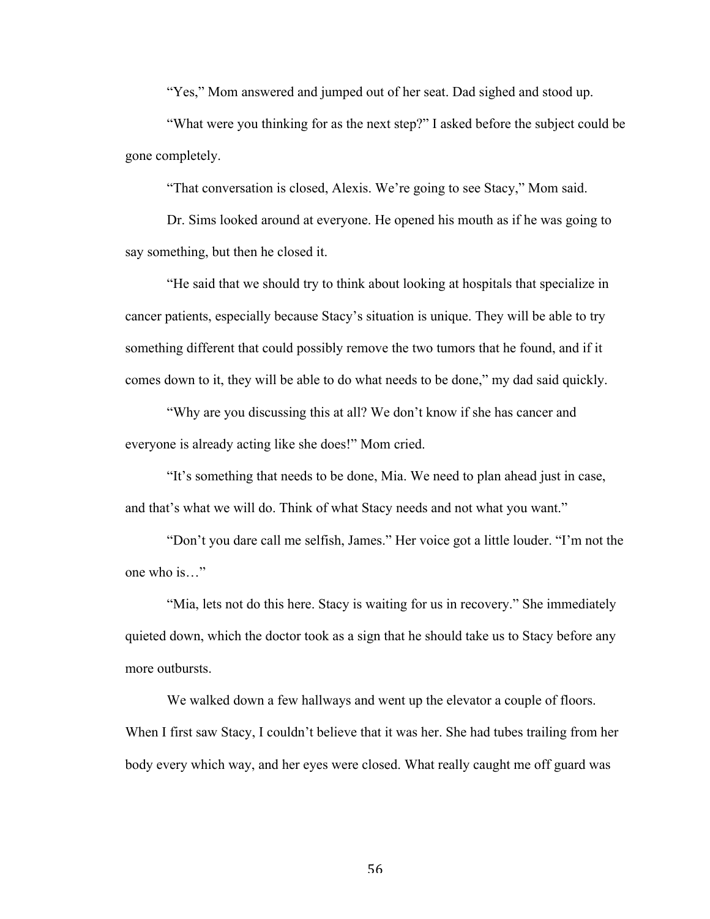"Yes," Mom answered and jumped out of her seat. Dad sighed and stood up.

"What were you thinking for as the next step?" I asked before the subject could be gone completely.

"That conversation is closed, Alexis. We're going to see Stacy," Mom said.

Dr. Sims looked around at everyone. He opened his mouth as if he was going to say something, but then he closed it.

"He said that we should try to think about looking at hospitals that specialize in cancer patients, especially because Stacy's situation is unique. They will be able to try something different that could possibly remove the two tumors that he found, and if it comes down to it, they will be able to do what needs to be done," my dad said quickly.

"Why are you discussing this at all? We don't know if she has cancer and everyone is already acting like she does!" Mom cried.

"It's something that needs to be done, Mia. We need to plan ahead just in case, and that's what we will do. Think of what Stacy needs and not what you want."

"Don't you dare call me selfish, James." Her voice got a little louder. "I'm not the one who is…"

"Mia, lets not do this here. Stacy is waiting for us in recovery." She immediately quieted down, which the doctor took as a sign that he should take us to Stacy before any more outbursts.

We walked down a few hallways and went up the elevator a couple of floors. When I first saw Stacy, I couldn't believe that it was her. She had tubes trailing from her body every which way, and her eyes were closed. What really caught me off guard was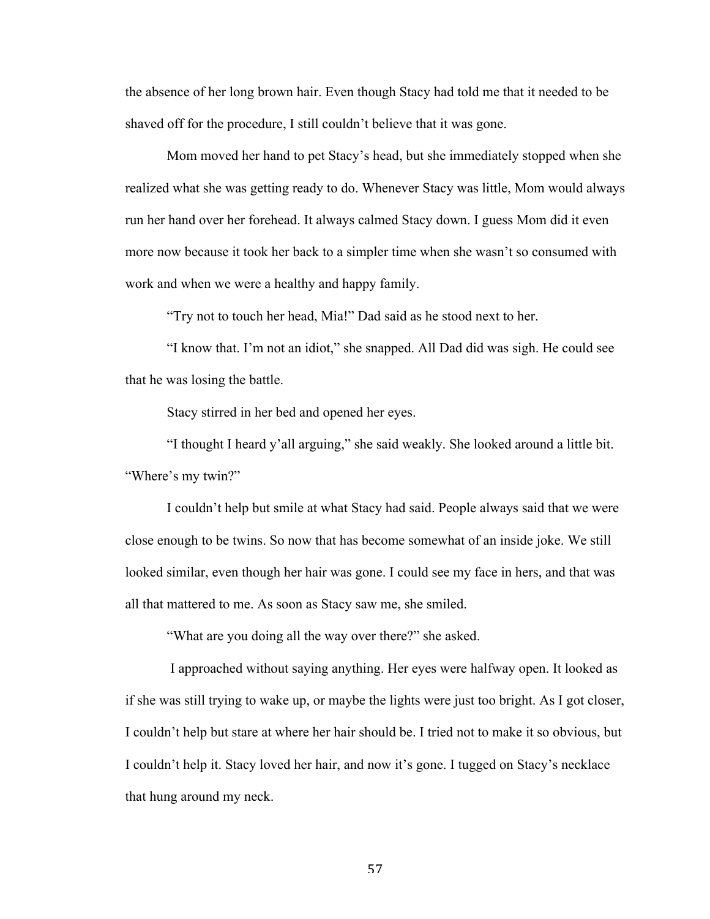the absence of her long brown hair. Even though Stacy had told me that it needed to be shaved off for the procedure, I still couldn't believe that it was gone.

Mom moved her hand to pet Stacy's head, but she immediately stopped when she realized what she was getting ready to do. Whenever Stacy was little, Mom would always run her hand over her forehead. It always calmed Stacy down. I guess Mom did it even more now because it took her back to a simpler time when she wasn't so consumed with work and when we were a healthy and happy family.

"Try not to touch her head, Mia!" Dad said as he stood next to her.

"I know that. I'm not an idiot," she snapped. All Dad did was sigh. He could see that he was losing the battle.

Stacy stirred in her bed and opened her eyes.

"I thought I heard y'all arguing," she said weakly. She looked around a little bit. "Where's my twin?"

I couldn't help but smile at what Stacy had said. People always said that we were close enough to be twins. So now that has become somewhat of an inside joke. We still looked similar, even though her hair was gone. I could see my face in hers, and that was all that mattered to me. As soon as Stacy saw me, she smiled.

"What are you doing all the way over there?" she asked.

I approached without saying anything. Her eyes were halfway open. It looked as if she was still trying to wake up, or maybe the lights were just too bright. As I got closer, I couldn't help but stare at where her hair should be. I tried not to make it so obvious, but I couldn't help it. Stacy loved her hair, and now it's gone. I tugged on Stacy's necklace that hung around my neck.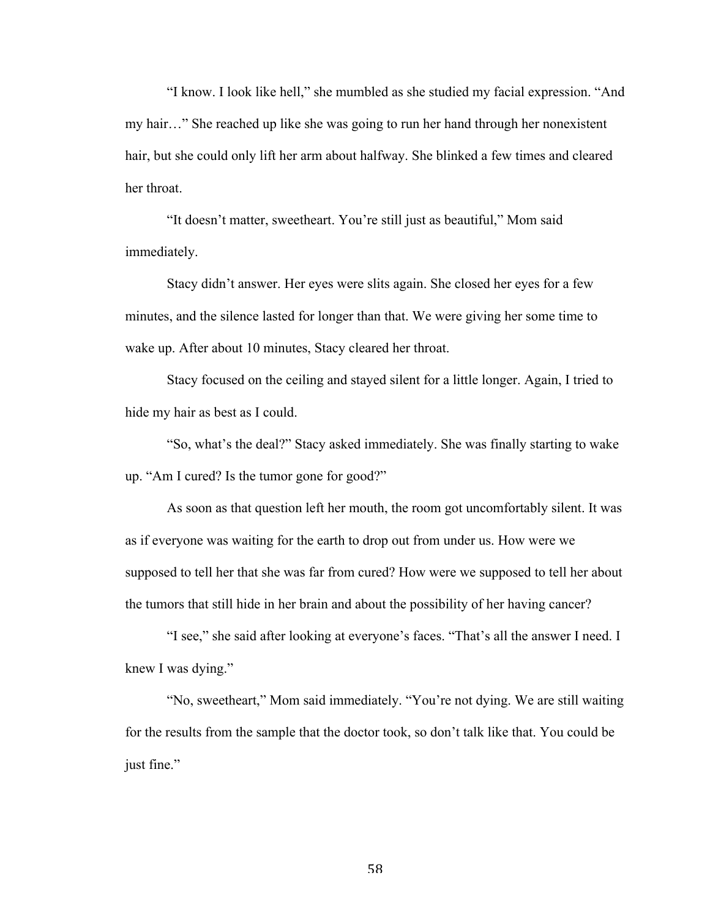"I know. I look like hell," she mumbled as she studied my facial expression. "And my hair…" She reached up like she was going to run her hand through her nonexistent hair, but she could only lift her arm about halfway. She blinked a few times and cleared her throat.

"It doesn't matter, sweetheart. You're still just as beautiful," Mom said immediately.

Stacy didn't answer. Her eyes were slits again. She closed her eyes for a few minutes, and the silence lasted for longer than that. We were giving her some time to wake up. After about 10 minutes, Stacy cleared her throat.

Stacy focused on the ceiling and stayed silent for a little longer. Again, I tried to hide my hair as best as I could.

"So, what's the deal?" Stacy asked immediately. She was finally starting to wake up. "Am I cured? Is the tumor gone for good?"

As soon as that question left her mouth, the room got uncomfortably silent. It was as if everyone was waiting for the earth to drop out from under us. How were we supposed to tell her that she was far from cured? How were we supposed to tell her about the tumors that still hide in her brain and about the possibility of her having cancer?

"I see," she said after looking at everyone's faces. "That's all the answer I need. I knew I was dying."

"No, sweetheart," Mom said immediately. "You're not dying. We are still waiting for the results from the sample that the doctor took, so don't talk like that. You could be just fine."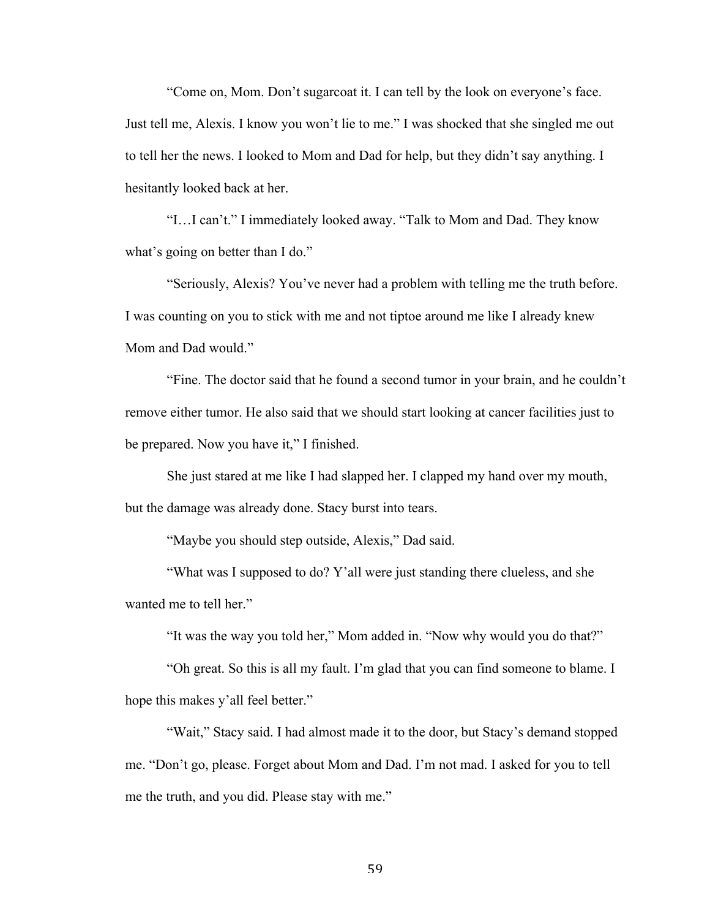"Come on, Mom. Don't sugarcoat it. I can tell by the look on everyone's face. Just tell me, Alexis. I know you won't lie to me." I was shocked that she singled me out to tell her the news. I looked to Mom and Dad for help, but they didn't say anything. I hesitantly looked back at her.

"I…I can't." I immediately looked away. "Talk to Mom and Dad. They know what's going on better than I do."

"Seriously, Alexis? You've never had a problem with telling me the truth before. I was counting on you to stick with me and not tiptoe around me like I already knew Mom and Dad would."

"Fine. The doctor said that he found a second tumor in your brain, and he couldn't remove either tumor. He also said that we should start looking at cancer facilities just to be prepared. Now you have it," I finished.

She just stared at me like I had slapped her. I clapped my hand over my mouth, but the damage was already done. Stacy burst into tears.

"Maybe you should step outside, Alexis," Dad said.

"What was I supposed to do? Y'all were just standing there clueless, and she wanted me to tell her."

"It was the way you told her," Mom added in. "Now why would you do that?"

"Oh great. So this is all my fault. I'm glad that you can find someone to blame. I hope this makes y'all feel better."

"Wait," Stacy said. I had almost made it to the door, but Stacy's demand stopped me. "Don't go, please. Forget about Mom and Dad. I'm not mad. I asked for you to tell me the truth, and you did. Please stay with me."